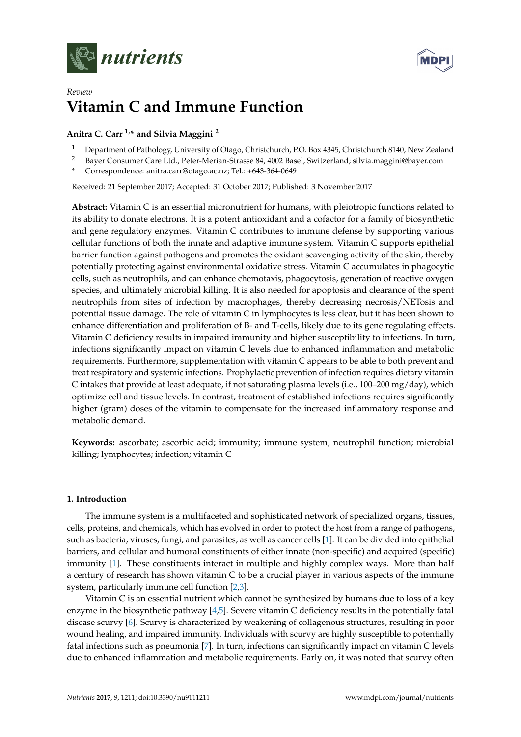



# *Review* **Vitamin C and Immune Function**

## **Anitra C. Carr 1,\* and Silvia Maggini <sup>2</sup>**

- <sup>1</sup> Department of Pathology, University of Otago, Christchurch, P.O. Box 4345, Christchurch 8140, New Zealand
- <sup>2</sup> Bayer Consumer Care Ltd., Peter-Merian-Strasse 84, 4002 Basel, Switzerland; silvia.maggini@bayer.com
- **\*** Correspondence: anitra.carr@otago.ac.nz; Tel.: +643-364-0649

Received: 21 September 2017; Accepted: 31 October 2017; Published: 3 November 2017

**Abstract:** Vitamin C is an essential micronutrient for humans, with pleiotropic functions related to its ability to donate electrons. It is a potent antioxidant and a cofactor for a family of biosynthetic and gene regulatory enzymes. Vitamin C contributes to immune defense by supporting various cellular functions of both the innate and adaptive immune system. Vitamin C supports epithelial barrier function against pathogens and promotes the oxidant scavenging activity of the skin, thereby potentially protecting against environmental oxidative stress. Vitamin C accumulates in phagocytic cells, such as neutrophils, and can enhance chemotaxis, phagocytosis, generation of reactive oxygen species, and ultimately microbial killing. It is also needed for apoptosis and clearance of the spent neutrophils from sites of infection by macrophages, thereby decreasing necrosis/NETosis and potential tissue damage. The role of vitamin C in lymphocytes is less clear, but it has been shown to enhance differentiation and proliferation of B- and T-cells, likely due to its gene regulating effects. Vitamin C deficiency results in impaired immunity and higher susceptibility to infections. In turn, infections significantly impact on vitamin C levels due to enhanced inflammation and metabolic requirements. Furthermore, supplementation with vitamin C appears to be able to both prevent and treat respiratory and systemic infections. Prophylactic prevention of infection requires dietary vitamin C intakes that provide at least adequate, if not saturating plasma levels (i.e., 100–200 mg/day), which optimize cell and tissue levels. In contrast, treatment of established infections requires significantly higher (gram) doses of the vitamin to compensate for the increased inflammatory response and metabolic demand.

**Keywords:** ascorbate; ascorbic acid; immunity; immune system; neutrophil function; microbial killing; lymphocytes; infection; vitamin C

### **1. Introduction**

The immune system is a multifaceted and sophisticated network of specialized organs, tissues, cells, proteins, and chemicals, which has evolved in order to protect the host from a range of pathogens, such as bacteria, viruses, fungi, and parasites, as well as cancer cells [\[1\]](#page-12-0). It can be divided into epithelial barriers, and cellular and humoral constituents of either innate (non-specific) and acquired (specific) immunity [\[1\]](#page-12-0). These constituents interact in multiple and highly complex ways. More than half a century of research has shown vitamin C to be a crucial player in various aspects of the immune system, particularly immune cell function [\[2](#page-12-1)[,3\]](#page-12-2).

Vitamin C is an essential nutrient which cannot be synthesized by humans due to loss of a key enzyme in the biosynthetic pathway [\[4,](#page-12-3)[5\]](#page-12-4). Severe vitamin C deficiency results in the potentially fatal disease scurvy [\[6\]](#page-12-5). Scurvy is characterized by weakening of collagenous structures, resulting in poor wound healing, and impaired immunity. Individuals with scurvy are highly susceptible to potentially fatal infections such as pneumonia [\[7\]](#page-12-6). In turn, infections can significantly impact on vitamin C levels due to enhanced inflammation and metabolic requirements. Early on, it was noted that scurvy often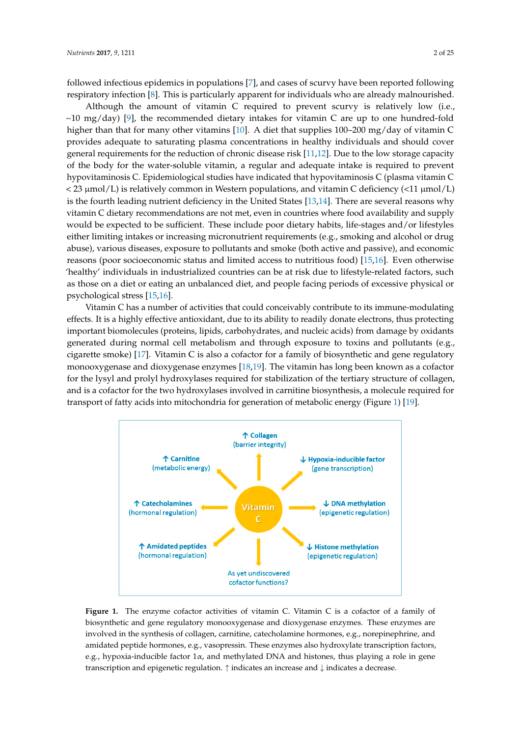followed infectious epidemics in populations [\[7\]](#page-12-6), and cases of scurvy have been reported following respiratory infection [\[8\]](#page-12-7). This is particularly apparent for individuals who are already malnourished.

Although the amount of vitamin C required to prevent scurvy is relatively low (i.e.,  $~10$  mg/day) [\[9\]](#page-12-8), the recommended dietary intakes for vitamin C are up to one hundred-fold higher than that for many other vitamins [\[10\]](#page-12-9). A diet that supplies 100–200 mg/day of vitamin C provides adequate to saturating plasma concentrations in healthy individuals and should cover r<br>general requirements for the reduction of chronic disease risk [\[11,](#page-12-10)[12\]](#page-12-11). Due to the low storage capacity of the body for the water-soluble vitamin, a regular and adequate intake is required to prevent of the reduction of the reduction of charms, a regaliar that adequate make to required to prevent<br>hypovitaminosis C. Epidemiological studies have indicated that hypovitaminosis C (plasma vitamin C  $<$  23  $\mu$ mol/L) is relatively common in Western populations, and vitamin C deficiency (<11  $\mu$ mol/L) is the fourth leading nutrient deficiency in the United States [\[13,](#page-13-0)[14\]](#page-13-1). There are several reasons why vitamin  $\mathtt C$  dietary recommendations are not met, even in countries where food availability and supply would be expected to be sufficient. These include poor dietary habits, life-stages and/or lifestyles either limiting intakes or increasing micronutrient requirements (e.g., smoking and alcohol or drug abuse), various diseases, exposure to pollutants and smoke (both active and passive), and economic reasons (poor socioeconomic status and limited access to nutritious food) [\[15,](#page-13-2)[16\]](#page-13-3). Even otherwise 'healthy' individuals in industrialized countries can be at risk due to lifestyle-related factors, such as those on a diet or eating an unbalanced diet, and people facing periods of excessive physical or  $p$ sychological stress [\[15](#page-13-2)[,16\]](#page-13-3). solutions c. reputation gian statics have intrated that hypovitaminosis C. prasma vitaminosis C.

Vitamin C has a number of activities that could conceivably contribute to its immune-modulating effects. It is a highly effective antioxidant, due to its ability to readily donate electrons, thus protecting effects. It is a highly effective antioxidant, due to its ability to readily donate electrons, thus protecting<br>important biomolecules (proteins, lipids, carbohydrates, and nucleic acids) from damage by oxidants generated during normal cell metabolism and through exposure to toxins and pollutants (e.g.,  $\alpha$ igarette smoke) [\[17\]](#page-13-4). Vitamin C is also a cofactor for a family of biosynthetic and gene regulatory monooxygenase and dioxygenase enzymes [\[18](#page-13-5)[,19\]](#page-13-6). The vitamin has long been known as a cofactor monooxygenase and dioxygenase enzymes [18,19]. The vitamin has long been known as a cofactor for for the lysyl and prolyl hydroxylases required for stabilization of the tertiary structure of collagen, and is a cofactor for the two hydroxylases involved in carnitine biosynthesis, a molecule required for transport of fatty acids into mitochondria for generation of metabolic energy (Figure [1\)](#page-1-0) [\[19\]](#page-13-6). fortant biomolecules (proteins, lipids, carbohydrates, and nucleic acids) from damage by oxida

<span id="page-1-0"></span>

**Figure 1.** The enzyme cofactor activities of vitamin C. Vitamin C is a cofactor of a family of **Figure 1.** The enzyme cofactor activities of vitamin C. Vitamin C is a cofactor of a family of biosynthetic and gene regulatory monooxygenase and dioxygenase enzymes. These enzymes are biosynthetic and gene regulatory monooxygenase and dioxygenase enzymes. These enzymes are involved in the synthesis of collagen, carnitine, catecholamine hormones, e.g., norepinephrine, and involved in the synthesis of collagen, carnitine, catecholamine hormones, e.g., norepinephrine, and amidated peptide hormones, e.g., vasopressin. These enzymes also hydroxylate transcription factors, amidated peptide hormones, e.g., vasopressin. These enzymes also hydroxylate transcription factors, e.g., hypoxia-inducible factor 1α, and methylated DNA and histones, thus playing a role in gene e.g., hypoxia-inducible factor 1α, and methylated DNA and histones, thus playing a role in gene transcription and epigenetic regulation. ↑ indicates an increase and ↓ indicates a decrease. transcription and epigenetic regulation. ↑ indicates an increase and ↓ indicates a decrease.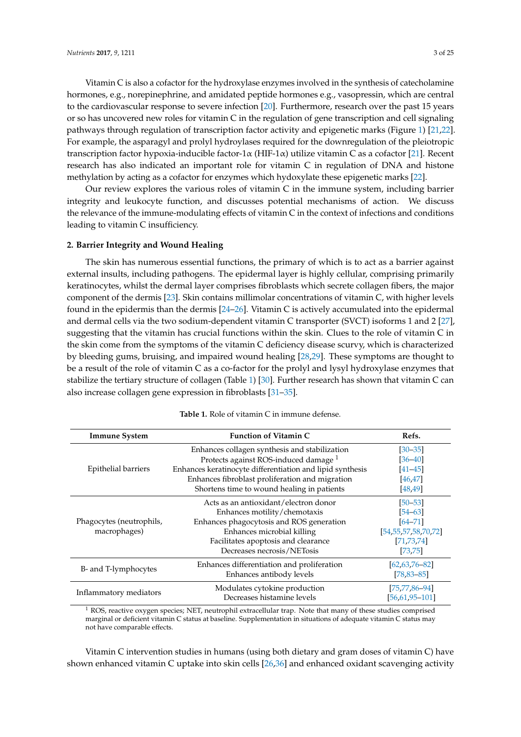Vitamin C is also a cofactor for the hydroxylase enzymes involved in the synthesis of catecholamine hormones, e.g., norepinephrine, and amidated peptide hormones e.g., vasopressin, which are central to the cardiovascular response to severe infection [\[20\]](#page-13-7). Furthermore, research over the past 15 years or so has uncovered new roles for vitamin C in the regulation of gene transcription and cell signaling pathways through regulation of transcription factor activity and epigenetic marks (Figure [1\)](#page-1-0) [\[21](#page-13-8)[,22\]](#page-13-9). For example, the asparagyl and prolyl hydroylases required for the downregulation of the pleiotropic transcription factor hypoxia-inducible factor-1α (HIF-1α) utilize vitamin C as a cofactor [\[21\]](#page-13-8). Recent research has also indicated an important role for vitamin C in regulation of DNA and histone methylation by acting as a cofactor for enzymes which hydoxylate these epigenetic marks [\[22\]](#page-13-9).

Our review explores the various roles of vitamin C in the immune system, including barrier integrity and leukocyte function, and discusses potential mechanisms of action. We discuss the relevance of the immune-modulating effects of vitamin C in the context of infections and conditions leading to vitamin C insufficiency.

#### **2. Barrier Integrity and Wound Healing**

The skin has numerous essential functions, the primary of which is to act as a barrier against external insults, including pathogens. The epidermal layer is highly cellular, comprising primarily keratinocytes, whilst the dermal layer comprises fibroblasts which secrete collagen fibers, the major component of the dermis [\[23\]](#page-13-10). Skin contains millimolar concentrations of vitamin C, with higher levels found in the epidermis than the dermis [\[24](#page-13-11)[–26\]](#page-13-12). Vitamin C is actively accumulated into the epidermal and dermal cells via the two sodium-dependent vitamin C transporter (SVCT) isoforms 1 and 2 [\[27\]](#page-13-13), suggesting that the vitamin has crucial functions within the skin. Clues to the role of vitamin C in the skin come from the symptoms of the vitamin C deficiency disease scurvy, which is characterized by bleeding gums, bruising, and impaired wound healing [\[28,](#page-13-14)[29\]](#page-13-15). These symptoms are thought to be a result of the role of vitamin C as a co-factor for the prolyl and lysyl hydroxylase enzymes that stabilize the tertiary structure of collagen (Table [1\)](#page-2-0) [\[30\]](#page-13-16). Further research has shown that vitamin C can also increase collagen gene expression in fibroblasts [\[31–](#page-13-17)[35\]](#page-14-0).

<span id="page-2-0"></span>

| <b>Immune System</b>                     | <b>Function of Vitamin C</b>                              | Refs.                    |
|------------------------------------------|-----------------------------------------------------------|--------------------------|
| Epithelial barriers                      | Enhances collagen synthesis and stabilization             | $[30 - 35]$              |
|                                          | Protects against ROS-induced damage <sup>1</sup>          | $[36 - 40]$              |
|                                          | Enhances keratinocyte differentiation and lipid synthesis | $[41 - 45]$              |
|                                          | Enhances fibroblast proliferation and migration           | [46, 47]                 |
|                                          | Shortens time to wound healing in patients                | [48, 49]                 |
| Phagocytes (neutrophils,<br>macrophages) | Acts as an antioxidant/electron donor                     | $[50 - 53]$              |
|                                          | Enhances motility/chemotaxis                              | $[54 - 63]$              |
|                                          | Enhances phagocytosis and ROS generation                  | $[64 - 71]$              |
|                                          | Enhances microbial killing                                | [54, 55, 57, 58, 70, 72] |
|                                          | Facilitates apoptosis and clearance                       | [71, 73, 74]             |
|                                          | Decreases necrosis/NETosis                                | [73, 75]                 |
| B- and T-lymphocytes                     | Enhances differentiation and proliferation                | $[62, 63, 76 - 82]$      |
|                                          | Enhances antibody levels                                  | $[78, 83 - 85]$          |
| Inflammatory mediators                   | Modulates cytokine production                             | $[75, 77, 86 - 94]$      |
|                                          | Decreases histamine levels                                | $[56, 61, 95 - 101]$     |

**Table 1.** Role of vitamin C in immune defense.

<sup>1</sup> ROS, reactive oxygen species; NET, neutrophil extracellular trap. Note that many of these studies comprised marginal or deficient vitamin C status at baseline. Supplementation in situations of adequate vitamin C status may not have comparable effects.

Vitamin C intervention studies in humans (using both dietary and gram doses of vitamin C) have shown enhanced vitamin C uptake into skin cells [\[26](#page-13-12)[,36\]](#page-14-1) and enhanced oxidant scavenging activity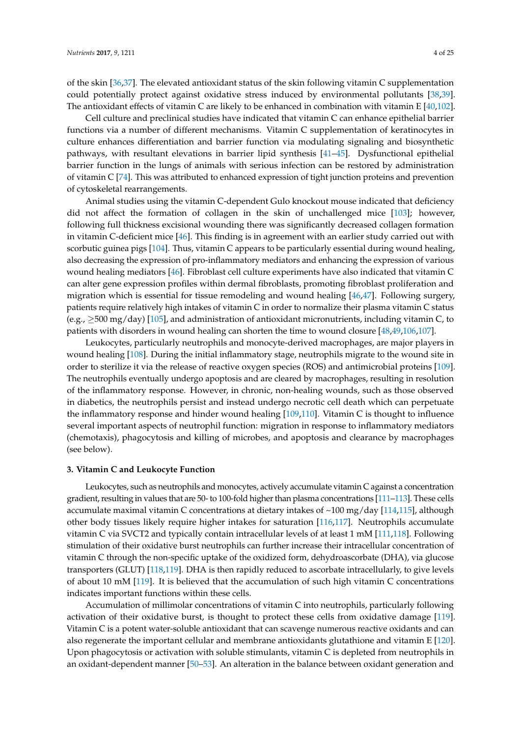of the skin [\[36](#page-14-1)[,37\]](#page-14-11). The elevated antioxidant status of the skin following vitamin C supplementation could potentially protect against oxidative stress induced by environmental pollutants [\[38,](#page-14-12)[39\]](#page-14-13). The antioxidant effects of vitamin C are likely to be enhanced in combination with vitamin E [\[40](#page-14-2)[,102\]](#page-17-3).

Cell culture and preclinical studies have indicated that vitamin C can enhance epithelial barrier functions via a number of different mechanisms. Vitamin C supplementation of keratinocytes in culture enhances differentiation and barrier function via modulating signaling and biosynthetic pathways, with resultant elevations in barrier lipid synthesis [\[41](#page-14-3)[–45\]](#page-14-4). Dysfunctional epithelial barrier function in the lungs of animals with serious infection can be restored by administration of vitamin C [\[74\]](#page-15-10). This was attributed to enhanced expression of tight junction proteins and prevention of cytoskeletal rearrangements.

Animal studies using the vitamin C-dependent Gulo knockout mouse indicated that deficiency did not affect the formation of collagen in the skin of unchallenged mice [\[103\]](#page-17-4); however, following full thickness excisional wounding there was significantly decreased collagen formation in vitamin C-deficient mice [\[46\]](#page-14-5). This finding is in agreement with an earlier study carried out with scorbutic guinea pigs [\[104\]](#page-17-5). Thus, vitamin C appears to be particularly essential during wound healing, also decreasing the expression of pro-inflammatory mediators and enhancing the expression of various wound healing mediators [\[46\]](#page-14-5). Fibroblast cell culture experiments have also indicated that vitamin C can alter gene expression profiles within dermal fibroblasts, promoting fibroblast proliferation and migration which is essential for tissue remodeling and wound healing [\[46,](#page-14-5)[47\]](#page-14-6). Following surgery, patients require relatively high intakes of vitamin C in order to normalize their plasma vitamin C status (e.g., ≥500 mg/day) [\[105\]](#page-17-6), and administration of antioxidant micronutrients, including vitamin C, to patients with disorders in wound healing can shorten the time to wound closure [\[48,](#page-14-7)[49,](#page-14-8)[106](#page-17-7)[,107\]](#page-17-8).

Leukocytes, particularly neutrophils and monocyte-derived macrophages, are major players in wound healing [\[108\]](#page-17-9). During the initial inflammatory stage, neutrophils migrate to the wound site in order to sterilize it via the release of reactive oxygen species (ROS) and antimicrobial proteins [\[109\]](#page-17-10). The neutrophils eventually undergo apoptosis and are cleared by macrophages, resulting in resolution of the inflammatory response. However, in chronic, non-healing wounds, such as those observed in diabetics, the neutrophils persist and instead undergo necrotic cell death which can perpetuate the inflammatory response and hinder wound healing [\[109](#page-17-10)[,110\]](#page-17-11). Vitamin C is thought to influence several important aspects of neutrophil function: migration in response to inflammatory mediators (chemotaxis), phagocytosis and killing of microbes, and apoptosis and clearance by macrophages (see below).

#### **3. Vitamin C and Leukocyte Function**

Leukocytes, such as neutrophils and monocytes, actively accumulate vitamin C against a concentration gradient, resulting in values that are 50- to 100-fold higher than plasma concentrations [\[111](#page-17-12)[–113\]](#page-17-13). These cells accumulate maximal vitamin C concentrations at dietary intakes of ~100 mg/day [\[114](#page-17-14)[,115\]](#page-17-15), although other body tissues likely require higher intakes for saturation [\[116,](#page-18-0)[117\]](#page-18-1). Neutrophils accumulate vitamin C via SVCT2 and typically contain intracellular levels of at least 1 mM [\[111](#page-17-12)[,118\]](#page-18-2). Following stimulation of their oxidative burst neutrophils can further increase their intracellular concentration of vitamin C through the non-specific uptake of the oxidized form, dehydroascorbate (DHA), via glucose transporters (GLUT) [\[118](#page-18-2)[,119\]](#page-18-3). DHA is then rapidly reduced to ascorbate intracellularly, to give levels of about 10 mM [\[119\]](#page-18-3). It is believed that the accumulation of such high vitamin C concentrations indicates important functions within these cells.

Accumulation of millimolar concentrations of vitamin C into neutrophils, particularly following activation of their oxidative burst, is thought to protect these cells from oxidative damage [\[119\]](#page-18-3). Vitamin C is a potent water-soluble antioxidant that can scavenge numerous reactive oxidants and can also regenerate the important cellular and membrane antioxidants glutathione and vitamin E [\[120\]](#page-18-4). Upon phagocytosis or activation with soluble stimulants, vitamin C is depleted from neutrophils in an oxidant-dependent manner [\[50](#page-14-9)[–53\]](#page-14-10). An alteration in the balance between oxidant generation and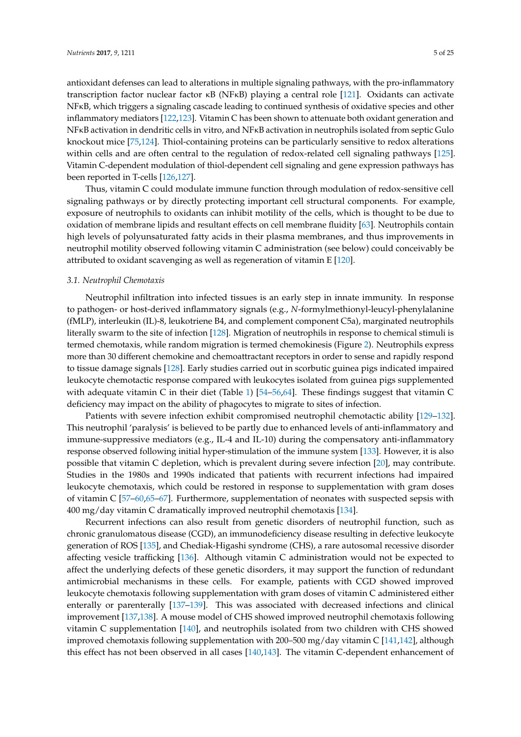antioxidant defenses can lead to alterations in multiple signaling pathways, with the pro-inflammatory transcription factor nuclear factor κB (NFκB) playing a central role [\[121\]](#page-18-5). Oxidants can activate NFκB, which triggers a signaling cascade leading to continued synthesis of oxidative species and other inflammatory mediators [\[122,](#page-18-6)[123\]](#page-18-7). Vitamin C has been shown to attenuate both oxidant generation and NFκB activation in dendritic cells in vitro, and NFκB activation in neutrophils isolated from septic Gulo knockout mice [\[75](#page-16-0)[,124\]](#page-18-8). Thiol-containing proteins can be particularly sensitive to redox alterations within cells and are often central to the regulation of redox-related cell signaling pathways [\[125\]](#page-18-9). Vitamin C-dependent modulation of thiol-dependent cell signaling and gene expression pathways has been reported in T-cells [\[126](#page-18-10)[,127\]](#page-18-11).

Thus, vitamin C could modulate immune function through modulation of redox-sensitive cell signaling pathways or by directly protecting important cell structural components. For example, exposure of neutrophils to oxidants can inhibit motility of the cells, which is thought to be due to oxidation of membrane lipids and resultant effects on cell membrane fluidity [\[63\]](#page-15-1). Neutrophils contain high levels of polyunsaturated fatty acids in their plasma membranes, and thus improvements in neutrophil motility observed following vitamin C administration (see below) could conceivably be attributed to oxidant scavenging as well as regeneration of vitamin E [\[120\]](#page-18-4).

#### *3.1. Neutrophil Chemotaxis*

Neutrophil infiltration into infected tissues is an early step in innate immunity. In response to pathogen- or host-derived inflammatory signals (e.g., *N*-formylmethionyl-leucyl-phenylalanine (fMLP), interleukin (IL)-8, leukotriene B4, and complement component C5a), marginated neutrophils literally swarm to the site of infection [\[128\]](#page-18-12). Migration of neutrophils in response to chemical stimuli is termed chemotaxis, while random migration is termed chemokinesis (Figure [2\)](#page-5-0). Neutrophils express more than 30 different chemokine and chemoattractant receptors in order to sense and rapidly respond to tissue damage signals [\[128\]](#page-18-12). Early studies carried out in scorbutic guinea pigs indicated impaired leukocyte chemotactic response compared with leukocytes isolated from guinea pigs supplemented with adequate vitamin C in their diet (Table [1\)](#page-2-0) [\[54](#page-15-0)[–56,](#page-15-12)[64\]](#page-15-2). These findings suggest that vitamin C deficiency may impact on the ability of phagocytes to migrate to sites of infection.

Patients with severe infection exhibit compromised neutrophil chemotactic ability [\[129–](#page-18-13)[132\]](#page-18-14). This neutrophil 'paralysis' is believed to be partly due to enhanced levels of anti-inflammatory and immune-suppressive mediators (e.g., IL-4 and IL-10) during the compensatory anti-inflammatory response observed following initial hyper-stimulation of the immune system [\[133\]](#page-18-15). However, it is also possible that vitamin C depletion, which is prevalent during severe infection [\[20\]](#page-13-7), may contribute. Studies in the 1980s and 1990s indicated that patients with recurrent infections had impaired leukocyte chemotaxis, which could be restored in response to supplementation with gram doses of vitamin C [\[57](#page-15-5)[–60](#page-15-14)[,65–](#page-15-15)[67\]](#page-15-16). Furthermore, supplementation of neonates with suspected sepsis with 400 mg/day vitamin C dramatically improved neutrophil chemotaxis [\[134\]](#page-18-16).

Recurrent infections can also result from genetic disorders of neutrophil function, such as chronic granulomatous disease (CGD), an immunodeficiency disease resulting in defective leukocyte generation of ROS [\[135\]](#page-18-17), and Chediak-Higashi syndrome (CHS), a rare autosomal recessive disorder affecting vesicle trafficking [\[136\]](#page-18-18). Although vitamin C administration would not be expected to affect the underlying defects of these genetic disorders, it may support the function of redundant antimicrobial mechanisms in these cells. For example, patients with CGD showed improved leukocyte chemotaxis following supplementation with gram doses of vitamin C administered either enterally or parenterally [\[137–](#page-18-19)[139\]](#page-19-0). This was associated with decreased infections and clinical improvement [\[137](#page-18-19)[,138\]](#page-19-1). A mouse model of CHS showed improved neutrophil chemotaxis following vitamin C supplementation [\[140\]](#page-19-2), and neutrophils isolated from two children with CHS showed improved chemotaxis following supplementation with 200–500 mg/day vitamin C [\[141,](#page-19-3)[142\]](#page-19-4), although this effect has not been observed in all cases [\[140](#page-19-2)[,143\]](#page-19-5). The vitamin C-dependent enhancement of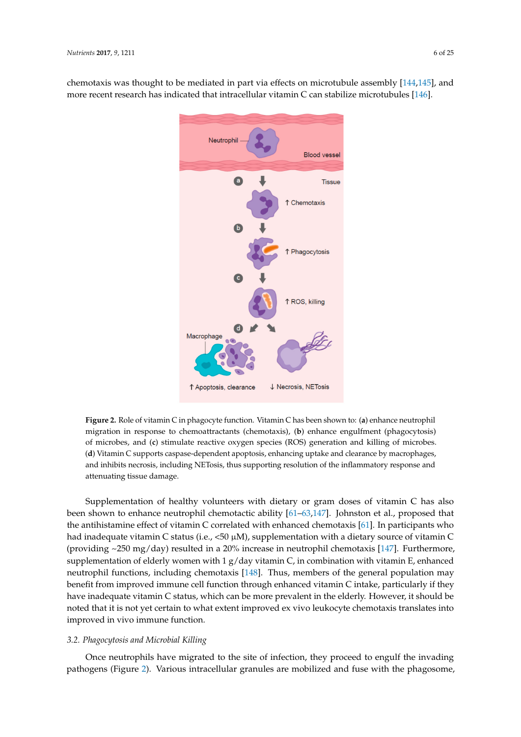<span id="page-5-0"></span>chemotaxis was thought to be mediated in part via effects on microtubule assembly [144,145], and more recent research has indicated that intracellular vitamin C can stabilize microtubules [\[146\]](#page-19-8).



**Figure 2.** Role of vitamin C in phagocyte function. Vitamin C has been shown to: (**a**) enhance **Figure 2.** Role of vitamin C in phagocyte function. Vitamin C has been shown to: (**a**) enhance neutrophil migration in response to chemoattractants (chemotaxis), (b) enhance engulfment (phagocytosis) of microbes, and (c) stimulate reactive oxygen species (ROS) generation and killing of microbes. (d) Vitamin C supports caspase-dependent apoptosis, enhancing uptake and clearance by macrophages, (**d**) Vitamin C supports caspase-dependent apoptosis, enhancing uptake and clearance by macrophages,<br>and inhibits necrosis, including NETosis, thus supporting resolution of the inflammatory response and attenuating tissue damage.

Supplementation of healthy volunteers with dietary or gram doses of vitamin C has also been shown to enhance neutrophil chemotactic ability  $[61-63,147]$  $[61-63,147]$  $[61-63,147]$ . Johnston et al., proposed that the antihistamine effect of vitamin C correlated with enhanced chemotaxis [\[61\]](#page-15-13). In participants who had inadequate vitamin C status (i.e., <50 μM), supplementation with a dietary source of vitamin C (providing ~250 mg/day) resulted in a 20% increase in neutrophil chemotaxis [147]. Furthermore, (providing ~250 mg/day) resulted in a 20% increase in neutrophil chemotaxis [\[147\]](#page-19-9). Furthermore, supplementation of elderly women with 1 g/day vitamin C, in combination with vitamin E, enhanced supplementation of elderly women with 1 g/day vitamin C, in combination with vitamin E, enhanced neutrophil functions, including chemotaxis [148]. Thus, members of the general population may neutrophil functions, including chemotaxis [\[148\]](#page-19-10). Thus, members of the general population may benefit from improved immune cell function through enhanced vitamin C intake, particularly if they benefit from improved immune cell function through enhanced vitamin C intake, particularly if they have inadequate vitamin C status, which can be more prevalent in the elderly. However, it should be have inadequate vitamin C status, which can be more prevalent in the elderly. However, it should be noted that it is not yet certain to what extent improved ex vivo leukocyte chemotaxis translates into noted that it is not yet certain to what extent improved ex vivo leukocyte chemotaxis translates into improved in vivo immune function. improved in vivo immune function.

# *3.2. Phagocytosis and Microbial Killing 3.2. Phagocytosis and Microbial Killing*

Once neutrophils have migrated to the site of infection, they proceed to engulf the invading Once neutrophils have migrated to the site of infection, they proceed to engulf the invading pathogens (Figure [2](#page-5-0)). Various intracellular granules are mobilized and fuse with the phagosome, pathogens (Figure 2). Various intracellular granules are mobilized and fuse with the phagosome,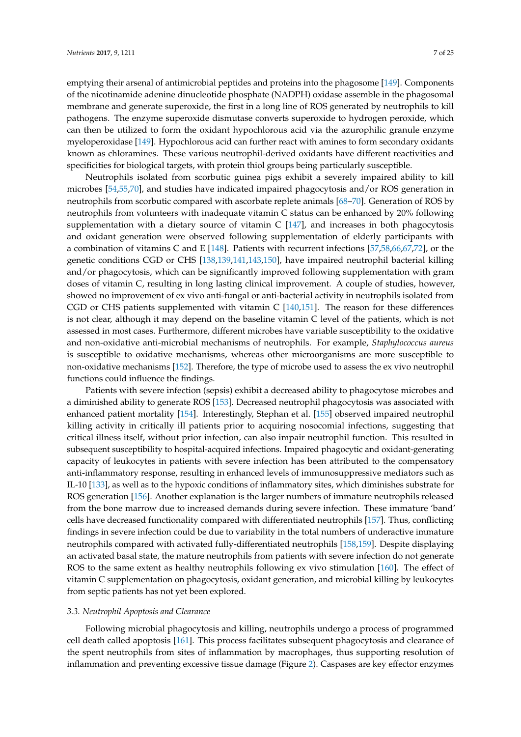emptying their arsenal of antimicrobial peptides and proteins into the phagosome [\[149\]](#page-19-11). Components of the nicotinamide adenine dinucleotide phosphate (NADPH) oxidase assemble in the phagosomal membrane and generate superoxide, the first in a long line of ROS generated by neutrophils to kill pathogens. The enzyme superoxide dismutase converts superoxide to hydrogen peroxide, which can then be utilized to form the oxidant hypochlorous acid via the azurophilic granule enzyme myeloperoxidase [\[149\]](#page-19-11). Hypochlorous acid can further react with amines to form secondary oxidants known as chloramines. These various neutrophil-derived oxidants have different reactivities and specificities for biological targets, with protein thiol groups being particularly susceptible.

Neutrophils isolated from scorbutic guinea pigs exhibit a severely impaired ability to kill microbes [\[54,](#page-15-0)[55,](#page-15-4)[70\]](#page-15-7), and studies have indicated impaired phagocytosis and/or ROS generation in neutrophils from scorbutic compared with ascorbate replete animals [\[68](#page-15-17)[–70\]](#page-15-7). Generation of ROS by neutrophils from volunteers with inadequate vitamin C status can be enhanced by 20% following supplementation with a dietary source of vitamin  $C$  [\[147\]](#page-19-9), and increases in both phagocytosis and oxidant generation were observed following supplementation of elderly participants with a combination of vitamins C and E [\[148\]](#page-19-10). Patients with recurrent infections [\[57,](#page-15-5)[58,](#page-15-6)[66,](#page-15-18)[67,](#page-15-16)[72\]](#page-15-8), or the genetic conditions CGD or CHS [\[138](#page-19-1)[,139](#page-19-0)[,141,](#page-19-3)[143,](#page-19-5)[150\]](#page-19-12), have impaired neutrophil bacterial killing and/or phagocytosis, which can be significantly improved following supplementation with gram doses of vitamin C, resulting in long lasting clinical improvement. A couple of studies, however, showed no improvement of ex vivo anti-fungal or anti-bacterial activity in neutrophils isolated from CGD or CHS patients supplemented with vitamin C [\[140,](#page-19-2)[151\]](#page-19-13). The reason for these differences is not clear, although it may depend on the baseline vitamin C level of the patients, which is not assessed in most cases. Furthermore, different microbes have variable susceptibility to the oxidative and non-oxidative anti-microbial mechanisms of neutrophils. For example, *Staphylococcus aureus* is susceptible to oxidative mechanisms, whereas other microorganisms are more susceptible to non-oxidative mechanisms [\[152\]](#page-19-14). Therefore, the type of microbe used to assess the ex vivo neutrophil functions could influence the findings.

Patients with severe infection (sepsis) exhibit a decreased ability to phagocytose microbes and a diminished ability to generate ROS [\[153\]](#page-19-15). Decreased neutrophil phagocytosis was associated with enhanced patient mortality [\[154\]](#page-19-16). Interestingly, Stephan et al. [\[155\]](#page-19-17) observed impaired neutrophil killing activity in critically ill patients prior to acquiring nosocomial infections, suggesting that critical illness itself, without prior infection, can also impair neutrophil function. This resulted in subsequent susceptibility to hospital-acquired infections. Impaired phagocytic and oxidant-generating capacity of leukocytes in patients with severe infection has been attributed to the compensatory anti-inflammatory response, resulting in enhanced levels of immunosuppressive mediators such as IL-10 [\[133\]](#page-18-15), as well as to the hypoxic conditions of inflammatory sites, which diminishes substrate for ROS generation [\[156\]](#page-19-18). Another explanation is the larger numbers of immature neutrophils released from the bone marrow due to increased demands during severe infection. These immature 'band' cells have decreased functionality compared with differentiated neutrophils [\[157\]](#page-20-0). Thus, conflicting findings in severe infection could be due to variability in the total numbers of underactive immature neutrophils compared with activated fully-differentiated neutrophils [\[158](#page-20-1)[,159\]](#page-20-2). Despite displaying an activated basal state, the mature neutrophils from patients with severe infection do not generate ROS to the same extent as healthy neutrophils following ex vivo stimulation [\[160\]](#page-20-3). The effect of vitamin C supplementation on phagocytosis, oxidant generation, and microbial killing by leukocytes from septic patients has not yet been explored.

#### *3.3. Neutrophil Apoptosis and Clearance*

Following microbial phagocytosis and killing, neutrophils undergo a process of programmed cell death called apoptosis [\[161\]](#page-20-4). This process facilitates subsequent phagocytosis and clearance of the spent neutrophils from sites of inflammation by macrophages, thus supporting resolution of inflammation and preventing excessive tissue damage (Figure [2\)](#page-5-0). Caspases are key effector enzymes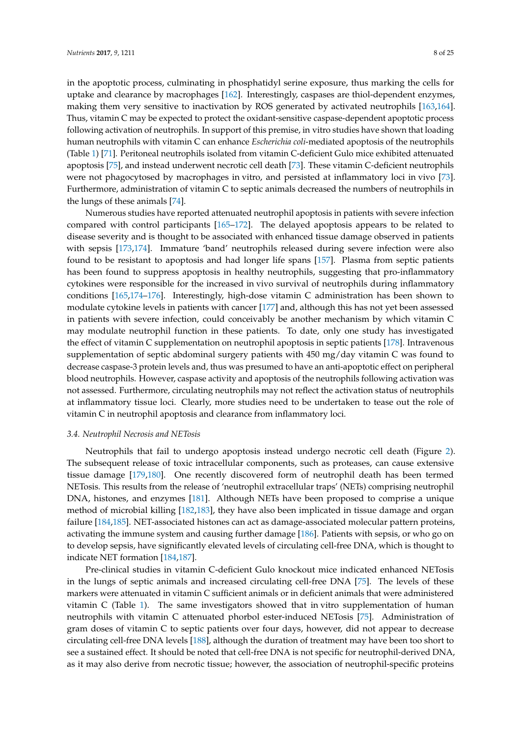in the apoptotic process, culminating in phosphatidyl serine exposure, thus marking the cells for uptake and clearance by macrophages [\[162\]](#page-20-5). Interestingly, caspases are thiol-dependent enzymes, making them very sensitive to inactivation by ROS generated by activated neutrophils [\[163,](#page-20-6)[164\]](#page-20-7). Thus, vitamin C may be expected to protect the oxidant-sensitive caspase-dependent apoptotic process following activation of neutrophils. In support of this premise, in vitro studies have shown that loading human neutrophils with vitamin C can enhance *Escherichia coli*-mediated apoptosis of the neutrophils (Table [1\)](#page-2-0) [\[71\]](#page-15-3). Peritoneal neutrophils isolated from vitamin C-deficient Gulo mice exhibited attenuated apoptosis [\[75\]](#page-16-0), and instead underwent necrotic cell death [\[73\]](#page-15-9). These vitamin C-deficient neutrophils were not phagocytosed by macrophages in vitro, and persisted at inflammatory loci in vivo [\[73\]](#page-15-9). Furthermore, administration of vitamin C to septic animals decreased the numbers of neutrophils in the lungs of these animals [\[74\]](#page-15-10).

Numerous studies have reported attenuated neutrophil apoptosis in patients with severe infection compared with control participants [\[165](#page-20-8)[–172\]](#page-20-9). The delayed apoptosis appears to be related to disease severity and is thought to be associated with enhanced tissue damage observed in patients with sepsis [\[173](#page-20-10)[,174\]](#page-20-11). Immature 'band' neutrophils released during severe infection were also found to be resistant to apoptosis and had longer life spans [\[157\]](#page-20-0). Plasma from septic patients has been found to suppress apoptosis in healthy neutrophils, suggesting that pro-inflammatory cytokines were responsible for the increased in vivo survival of neutrophils during inflammatory conditions [\[165,](#page-20-8)[174–](#page-20-11)[176\]](#page-21-0). Interestingly, high-dose vitamin C administration has been shown to modulate cytokine levels in patients with cancer [\[177\]](#page-21-1) and, although this has not yet been assessed in patients with severe infection, could conceivably be another mechanism by which vitamin C may modulate neutrophil function in these patients. To date, only one study has investigated the effect of vitamin C supplementation on neutrophil apoptosis in septic patients [\[178\]](#page-21-2). Intravenous supplementation of septic abdominal surgery patients with 450 mg/day vitamin C was found to decrease caspase-3 protein levels and, thus was presumed to have an anti-apoptotic effect on peripheral blood neutrophils. However, caspase activity and apoptosis of the neutrophils following activation was not assessed. Furthermore, circulating neutrophils may not reflect the activation status of neutrophils at inflammatory tissue loci. Clearly, more studies need to be undertaken to tease out the role of vitamin C in neutrophil apoptosis and clearance from inflammatory loci.

#### *3.4. Neutrophil Necrosis and NETosis*

Neutrophils that fail to undergo apoptosis instead undergo necrotic cell death (Figure [2\)](#page-5-0). The subsequent release of toxic intracellular components, such as proteases, can cause extensive tissue damage [\[179,](#page-21-3)[180\]](#page-21-4). One recently discovered form of neutrophil death has been termed NETosis. This results from the release of 'neutrophil extracellular traps' (NETs) comprising neutrophil DNA, histones, and enzymes [\[181\]](#page-21-5). Although NETs have been proposed to comprise a unique method of microbial killing [\[182](#page-21-6)[,183\]](#page-21-7), they have also been implicated in tissue damage and organ failure [\[184](#page-21-8)[,185\]](#page-21-9). NET-associated histones can act as damage-associated molecular pattern proteins, activating the immune system and causing further damage [\[186\]](#page-21-10). Patients with sepsis, or who go on to develop sepsis, have significantly elevated levels of circulating cell-free DNA, which is thought to indicate NET formation [\[184,](#page-21-8)[187\]](#page-21-11).

Pre-clinical studies in vitamin C-deficient Gulo knockout mice indicated enhanced NETosis in the lungs of septic animals and increased circulating cell-free DNA [\[75\]](#page-16-0). The levels of these markers were attenuated in vitamin C sufficient animals or in deficient animals that were administered vitamin C (Table [1\)](#page-2-0). The same investigators showed that in vitro supplementation of human neutrophils with vitamin C attenuated phorbol ester-induced NETosis [\[75\]](#page-16-0). Administration of gram doses of vitamin C to septic patients over four days, however, did not appear to decrease circulating cell-free DNA levels [\[188\]](#page-21-12), although the duration of treatment may have been too short to see a sustained effect. It should be noted that cell-free DNA is not specific for neutrophil-derived DNA, as it may also derive from necrotic tissue; however, the association of neutrophil-specific proteins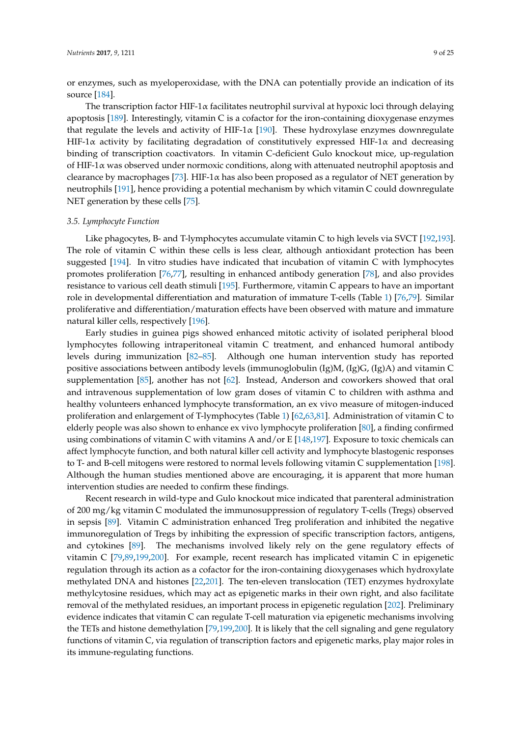or enzymes, such as myeloperoxidase, with the DNA can potentially provide an indication of its source [\[184\]](#page-21-8).

The transcription factor HIF-1 $\alpha$  facilitates neutrophil survival at hypoxic loci through delaying apoptosis [\[189\]](#page-21-13). Interestingly, vitamin C is a cofactor for the iron-containing dioxygenase enzymes that regulate the levels and activity of HIF-1 $\alpha$  [\[190\]](#page-21-14). These hydroxylase enzymes downregulate HIF-1 $\alpha$  activity by facilitating degradation of constitutively expressed HIF-1 $\alpha$  and decreasing binding of transcription coactivators. In vitamin C-deficient Gulo knockout mice, up-regulation of HIF-1α was observed under normoxic conditions, along with attenuated neutrophil apoptosis and clearance by macrophages [\[73\]](#page-15-9). HIF-1 $\alpha$  has also been proposed as a regulator of NET generation by neutrophils [\[191\]](#page-21-15), hence providing a potential mechanism by which vitamin C could downregulate NET generation by these cells [\[75\]](#page-16-0).

#### *3.5. Lymphocyte Function*

Like phagocytes, B- and T-lymphocytes accumulate vitamin C to high levels via SVCT [\[192,](#page-21-16)[193\]](#page-21-17). The role of vitamin C within these cells is less clear, although antioxidant protection has been suggested [\[194\]](#page-21-18). In vitro studies have indicated that incubation of vitamin C with lymphocytes promotes proliferation [\[76](#page-16-1)[,77\]](#page-16-6), resulting in enhanced antibody generation [\[78\]](#page-16-3), and also provides resistance to various cell death stimuli [\[195\]](#page-21-19). Furthermore, vitamin C appears to have an important role in developmental differentiation and maturation of immature T-cells (Table [1\)](#page-2-0) [\[76,](#page-16-1)[79\]](#page-16-8). Similar proliferative and differentiation/maturation effects have been observed with mature and immature natural killer cells, respectively [\[196\]](#page-21-20).

Early studies in guinea pigs showed enhanced mitotic activity of isolated peripheral blood lymphocytes following intraperitoneal vitamin C treatment, and enhanced humoral antibody levels during immunization [\[82–](#page-16-2)[85\]](#page-16-5). Although one human intervention study has reported positive associations between antibody levels (immunoglobulin (Ig)M, (Ig)G, (Ig)A) and vitamin C supplementation [\[85\]](#page-16-5), another has not [\[62\]](#page-15-11). Instead, Anderson and coworkers showed that oral and intravenous supplementation of low gram doses of vitamin C to children with asthma and healthy volunteers enhanced lymphocyte transformation, an ex vivo measure of mitogen-induced proliferation and enlargement of T-lymphocytes (Table [1\)](#page-2-0) [\[62,](#page-15-11)[63,](#page-15-1)[81\]](#page-16-9). Administration of vitamin C to elderly people was also shown to enhance ex vivo lymphocyte proliferation [\[80\]](#page-16-10), a finding confirmed using combinations of vitamin C with vitamins A and/or E [\[148](#page-19-10)[,197\]](#page-22-0). Exposure to toxic chemicals can affect lymphocyte function, and both natural killer cell activity and lymphocyte blastogenic responses to T- and B-cell mitogens were restored to normal levels following vitamin C supplementation [\[198\]](#page-22-1). Although the human studies mentioned above are encouraging, it is apparent that more human intervention studies are needed to confirm these findings.

Recent research in wild-type and Gulo knockout mice indicated that parenteral administration of 200 mg/kg vitamin C modulated the immunosuppression of regulatory T-cells (Tregs) observed in sepsis [\[89\]](#page-16-11). Vitamin C administration enhanced Treg proliferation and inhibited the negative immunoregulation of Tregs by inhibiting the expression of specific transcription factors, antigens, and cytokines [\[89\]](#page-16-11). The mechanisms involved likely rely on the gene regulatory effects of vitamin C [\[79](#page-16-8)[,89](#page-16-11)[,199](#page-22-2)[,200\]](#page-22-3). For example, recent research has implicated vitamin C in epigenetic regulation through its action as a cofactor for the iron-containing dioxygenases which hydroxylate methylated DNA and histones [\[22](#page-13-9)[,201\]](#page-22-4). The ten-eleven translocation (TET) enzymes hydroxylate methylcytosine residues, which may act as epigenetic marks in their own right, and also facilitate removal of the methylated residues, an important process in epigenetic regulation [\[202\]](#page-22-5). Preliminary evidence indicates that vitamin C can regulate T-cell maturation via epigenetic mechanisms involving the TETs and histone demethylation [\[79,](#page-16-8)[199,](#page-22-2)[200\]](#page-22-3). It is likely that the cell signaling and gene regulatory functions of vitamin C, via regulation of transcription factors and epigenetic marks, play major roles in its immune-regulating functions.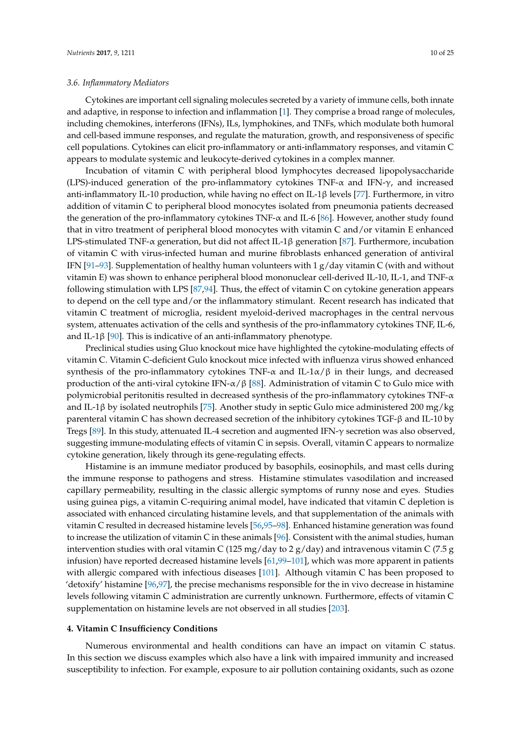#### *3.6. Inflammatory Mediators*

Cytokines are important cell signaling molecules secreted by a variety of immune cells, both innate and adaptive, in response to infection and inflammation [\[1\]](#page-12-0). They comprise a broad range of molecules, including chemokines, interferons (IFNs), ILs, lymphokines, and TNFs, which modulate both humoral and cell-based immune responses, and regulate the maturation, growth, and responsiveness of specific cell populations. Cytokines can elicit pro-inflammatory or anti-inflammatory responses, and vitamin C appears to modulate systemic and leukocyte-derived cytokines in a complex manner.

Incubation of vitamin C with peripheral blood lymphocytes decreased lipopolysaccharide (LPS)-induced generation of the pro-inflammatory cytokines TNF-α and IFN-γ, and increased anti-inflammatory IL-10 production, while having no effect on IL-1β levels [\[77\]](#page-16-6). Furthermore, in vitro addition of vitamin C to peripheral blood monocytes isolated from pneumonia patients decreased the generation of the pro-inflammatory cytokines TNF- $\alpha$  and IL-6 [\[86\]](#page-16-7). However, another study found that in vitro treatment of peripheral blood monocytes with vitamin C and/or vitamin E enhanced LPS-stimulated TNF-α generation, but did not affect IL-1β generation [\[87\]](#page-16-12). Furthermore, incubation of vitamin C with virus-infected human and murine fibroblasts enhanced generation of antiviral IFN [\[91–](#page-16-13)[93\]](#page-16-14). Supplementation of healthy human volunteers with 1  $g$ /day vitamin C (with and without vitamin E) was shown to enhance peripheral blood mononuclear cell-derived IL-10, IL-1, and TNF-α following stimulation with LPS [\[87](#page-16-12)[,94\]](#page-17-0). Thus, the effect of vitamin C on cytokine generation appears to depend on the cell type and/or the inflammatory stimulant. Recent research has indicated that vitamin C treatment of microglia, resident myeloid-derived macrophages in the central nervous system, attenuates activation of the cells and synthesis of the pro-inflammatory cytokines TNF, IL-6, and IL-1β [\[90\]](#page-16-15). This is indicative of an anti-inflammatory phenotype.

Preclinical studies using Gluo knockout mice have highlighted the cytokine-modulating effects of vitamin C. Vitamin C-deficient Gulo knockout mice infected with influenza virus showed enhanced synthesis of the pro-inflammatory cytokines TNF-α and IL-1α/β in their lungs, and decreased production of the anti-viral cytokine IFN- $\alpha$ /β [\[88\]](#page-16-16). Administration of vitamin C to Gulo mice with polymicrobial peritonitis resulted in decreased synthesis of the pro-inflammatory cytokines TNF-α and IL-1 $\beta$  by isolated neutrophils [\[75\]](#page-16-0). Another study in septic Gulo mice administered 200 mg/kg parenteral vitamin C has shown decreased secretion of the inhibitory cytokines TGF-β and IL-10 by Tregs [\[89\]](#page-16-11). In this study, attenuated IL-4 secretion and augmented IFN- $\gamma$  secretion was also observed, suggesting immune-modulating effects of vitamin C in sepsis. Overall, vitamin C appears to normalize cytokine generation, likely through its gene-regulating effects.

Histamine is an immune mediator produced by basophils, eosinophils, and mast cells during the immune response to pathogens and stress. Histamine stimulates vasodilation and increased capillary permeability, resulting in the classic allergic symptoms of runny nose and eyes. Studies using guinea pigs, a vitamin C-requiring animal model, have indicated that vitamin C depletion is associated with enhanced circulating histamine levels, and that supplementation of the animals with vitamin C resulted in decreased histamine levels [\[56,](#page-15-12)[95–](#page-17-1)[98\]](#page-17-16). Enhanced histamine generation was found to increase the utilization of vitamin C in these animals [\[96\]](#page-17-17). Consistent with the animal studies, human intervention studies with oral vitamin C (125 mg/day to 2 g/day) and intravenous vitamin C (7.5 g infusion) have reported decreased histamine levels [\[61](#page-15-13)[,99–](#page-17-18)[101\]](#page-17-2), which was more apparent in patients with allergic compared with infectious diseases [\[101\]](#page-17-2). Although vitamin C has been proposed to 'detoxify' histamine [\[96](#page-17-17)[,97\]](#page-17-19), the precise mechanisms responsible for the in vivo decrease in histamine levels following vitamin C administration are currently unknown. Furthermore, effects of vitamin C supplementation on histamine levels are not observed in all studies [\[203\]](#page-22-6).

#### **4. Vitamin C Insufficiency Conditions**

Numerous environmental and health conditions can have an impact on vitamin C status. In this section we discuss examples which also have a link with impaired immunity and increased susceptibility to infection. For example, exposure to air pollution containing oxidants, such as ozone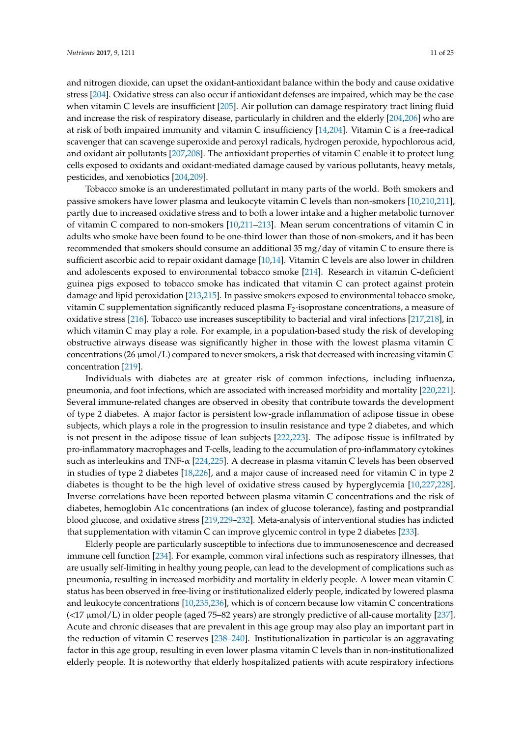and nitrogen dioxide, can upset the oxidant-antioxidant balance within the body and cause oxidative stress [\[204\]](#page-22-7). Oxidative stress can also occur if antioxidant defenses are impaired, which may be the case when vitamin C levels are insufficient [\[205\]](#page-22-8). Air pollution can damage respiratory tract lining fluid and increase the risk of respiratory disease, particularly in children and the elderly [\[204,](#page-22-7)[206\]](#page-22-9) who are at risk of both impaired immunity and vitamin C insufficiency [\[14,](#page-13-1)[204\]](#page-22-7). Vitamin C is a free-radical scavenger that can scavenge superoxide and peroxyl radicals, hydrogen peroxide, hypochlorous acid, and oxidant air pollutants [\[207](#page-22-10)[,208\]](#page-22-11). The antioxidant properties of vitamin C enable it to protect lung cells exposed to oxidants and oxidant-mediated damage caused by various pollutants, heavy metals, pesticides, and xenobiotics [\[204,](#page-22-7)[209\]](#page-22-12).

Tobacco smoke is an underestimated pollutant in many parts of the world. Both smokers and passive smokers have lower plasma and leukocyte vitamin C levels than non-smokers [\[10,](#page-12-9)[210,](#page-22-13)[211\]](#page-22-14), partly due to increased oxidative stress and to both a lower intake and a higher metabolic turnover of vitamin C compared to non-smokers [\[10,](#page-12-9)[211–](#page-22-14)[213\]](#page-22-15). Mean serum concentrations of vitamin C in adults who smoke have been found to be one-third lower than those of non-smokers, and it has been recommended that smokers should consume an additional 35 mg/day of vitamin C to ensure there is sufficient ascorbic acid to repair oxidant damage [\[10](#page-12-9)[,14\]](#page-13-1). Vitamin C levels are also lower in children and adolescents exposed to environmental tobacco smoke [\[214\]](#page-22-16). Research in vitamin C-deficient guinea pigs exposed to tobacco smoke has indicated that vitamin C can protect against protein damage and lipid peroxidation [\[213,](#page-22-15)[215\]](#page-22-17). In passive smokers exposed to environmental tobacco smoke, vitamin C supplementation significantly reduced plasma  $F_2$ -isoprostane concentrations, a measure of oxidative stress [\[216\]](#page-22-18). Tobacco use increases susceptibility to bacterial and viral infections [\[217,](#page-22-19)[218\]](#page-22-20), in which vitamin C may play a role. For example, in a population-based study the risk of developing obstructive airways disease was significantly higher in those with the lowest plasma vitamin C concentrations (26  $\mu$ mol/L) compared to never smokers, a risk that decreased with increasing vitamin C concentration [\[219\]](#page-23-0).

Individuals with diabetes are at greater risk of common infections, including influenza, pneumonia, and foot infections, which are associated with increased morbidity and mortality [\[220](#page-23-1)[,221\]](#page-23-2). Several immune-related changes are observed in obesity that contribute towards the development of type 2 diabetes. A major factor is persistent low-grade inflammation of adipose tissue in obese subjects, which plays a role in the progression to insulin resistance and type 2 diabetes, and which is not present in the adipose tissue of lean subjects [\[222](#page-23-3)[,223\]](#page-23-4). The adipose tissue is infiltrated by pro-inflammatory macrophages and T-cells, leading to the accumulation of pro-inflammatory cytokines such as interleukins and TNF- $\alpha$  [\[224,](#page-23-5)[225\]](#page-23-6). A decrease in plasma vitamin C levels has been observed in studies of type 2 diabetes [\[18](#page-13-5)[,226\]](#page-23-7), and a major cause of increased need for vitamin C in type 2 diabetes is thought to be the high level of oxidative stress caused by hyperglycemia [\[10,](#page-12-9)[227,](#page-23-8)[228\]](#page-23-9). Inverse correlations have been reported between plasma vitamin C concentrations and the risk of diabetes, hemoglobin A1c concentrations (an index of glucose tolerance), fasting and postprandial blood glucose, and oxidative stress [\[219,](#page-23-0)[229–](#page-23-10)[232\]](#page-23-11). Meta-analysis of interventional studies has indicted that supplementation with vitamin C can improve glycemic control in type 2 diabetes [\[233\]](#page-23-12).

Elderly people are particularly susceptible to infections due to immunosenescence and decreased immune cell function [\[234\]](#page-23-13). For example, common viral infections such as respiratory illnesses, that are usually self-limiting in healthy young people, can lead to the development of complications such as pneumonia, resulting in increased morbidity and mortality in elderly people. A lower mean vitamin C status has been observed in free-living or institutionalized elderly people, indicated by lowered plasma and leukocyte concentrations [\[10,](#page-12-9)[235,](#page-23-14)[236\]](#page-23-15), which is of concern because low vitamin C concentrations (<17 µmol/L) in older people (aged 75–82 years) are strongly predictive of all-cause mortality [\[237\]](#page-23-16). Acute and chronic diseases that are prevalent in this age group may also play an important part in the reduction of vitamin C reserves [\[238–](#page-23-17)[240\]](#page-23-18). Institutionalization in particular is an aggravating factor in this age group, resulting in even lower plasma vitamin C levels than in non-institutionalized elderly people. It is noteworthy that elderly hospitalized patients with acute respiratory infections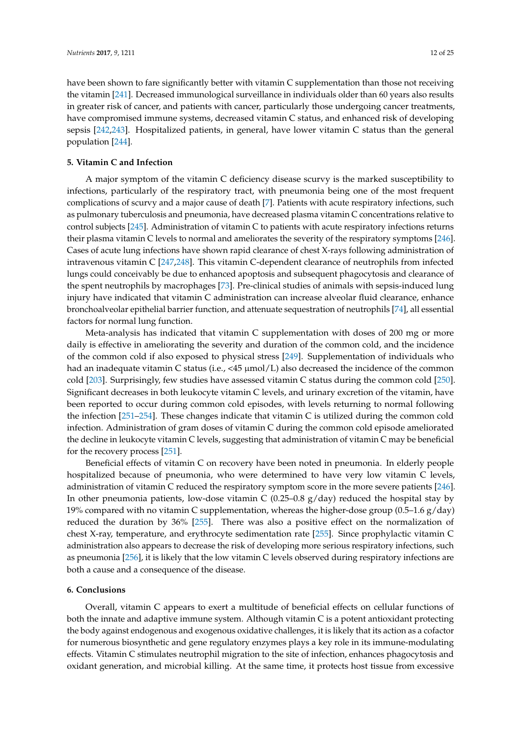have been shown to fare significantly better with vitamin C supplementation than those not receiving the vitamin [\[241\]](#page-24-0). Decreased immunological surveillance in individuals older than 60 years also results in greater risk of cancer, and patients with cancer, particularly those undergoing cancer treatments, have compromised immune systems, decreased vitamin C status, and enhanced risk of developing sepsis [\[242](#page-24-1)[,243\]](#page-24-2). Hospitalized patients, in general, have lower vitamin C status than the general population [\[244\]](#page-24-3).

#### **5. Vitamin C and Infection**

A major symptom of the vitamin C deficiency disease scurvy is the marked susceptibility to infections, particularly of the respiratory tract, with pneumonia being one of the most frequent complications of scurvy and a major cause of death [\[7\]](#page-12-6). Patients with acute respiratory infections, such as pulmonary tuberculosis and pneumonia, have decreased plasma vitamin C concentrations relative to control subjects [\[245\]](#page-24-4). Administration of vitamin C to patients with acute respiratory infections returns their plasma vitamin C levels to normal and ameliorates the severity of the respiratory symptoms [\[246\]](#page-24-5). Cases of acute lung infections have shown rapid clearance of chest X-rays following administration of intravenous vitamin C [\[247](#page-24-6)[,248\]](#page-24-7). This vitamin C-dependent clearance of neutrophils from infected lungs could conceivably be due to enhanced apoptosis and subsequent phagocytosis and clearance of the spent neutrophils by macrophages [\[73\]](#page-15-9). Pre-clinical studies of animals with sepsis-induced lung injury have indicated that vitamin C administration can increase alveolar fluid clearance, enhance bronchoalveolar epithelial barrier function, and attenuate sequestration of neutrophils [\[74\]](#page-15-10), all essential factors for normal lung function.

Meta-analysis has indicated that vitamin C supplementation with doses of 200 mg or more daily is effective in ameliorating the severity and duration of the common cold, and the incidence of the common cold if also exposed to physical stress [\[249\]](#page-24-8). Supplementation of individuals who had an inadequate vitamin C status (i.e.,  $\langle 45 \mu m o/L \rangle$  also decreased the incidence of the common cold [\[203\]](#page-22-6). Surprisingly, few studies have assessed vitamin C status during the common cold [\[250\]](#page-24-9). Significant decreases in both leukocyte vitamin C levels, and urinary excretion of the vitamin, have been reported to occur during common cold episodes, with levels returning to normal following the infection [\[251](#page-24-10)[–254\]](#page-24-11). These changes indicate that vitamin C is utilized during the common cold infection. Administration of gram doses of vitamin C during the common cold episode ameliorated the decline in leukocyte vitamin C levels, suggesting that administration of vitamin C may be beneficial for the recovery process [\[251\]](#page-24-10).

Beneficial effects of vitamin C on recovery have been noted in pneumonia. In elderly people hospitalized because of pneumonia, who were determined to have very low vitamin C levels, administration of vitamin C reduced the respiratory symptom score in the more severe patients [\[246\]](#page-24-5). In other pneumonia patients, low-dose vitamin C (0.25–0.8  $g$ /day) reduced the hospital stay by 19% compared with no vitamin C supplementation, whereas the higher-dose group  $(0.5-1.6 \text{ g/day})$ reduced the duration by 36% [\[255\]](#page-24-12). There was also a positive effect on the normalization of chest X-ray, temperature, and erythrocyte sedimentation rate [\[255\]](#page-24-12). Since prophylactic vitamin C administration also appears to decrease the risk of developing more serious respiratory infections, such as pneumonia [\[256\]](#page-24-13), it is likely that the low vitamin C levels observed during respiratory infections are both a cause and a consequence of the disease.

#### **6. Conclusions**

Overall, vitamin C appears to exert a multitude of beneficial effects on cellular functions of both the innate and adaptive immune system. Although vitamin C is a potent antioxidant protecting the body against endogenous and exogenous oxidative challenges, it is likely that its action as a cofactor for numerous biosynthetic and gene regulatory enzymes plays a key role in its immune-modulating effects. Vitamin C stimulates neutrophil migration to the site of infection, enhances phagocytosis and oxidant generation, and microbial killing. At the same time, it protects host tissue from excessive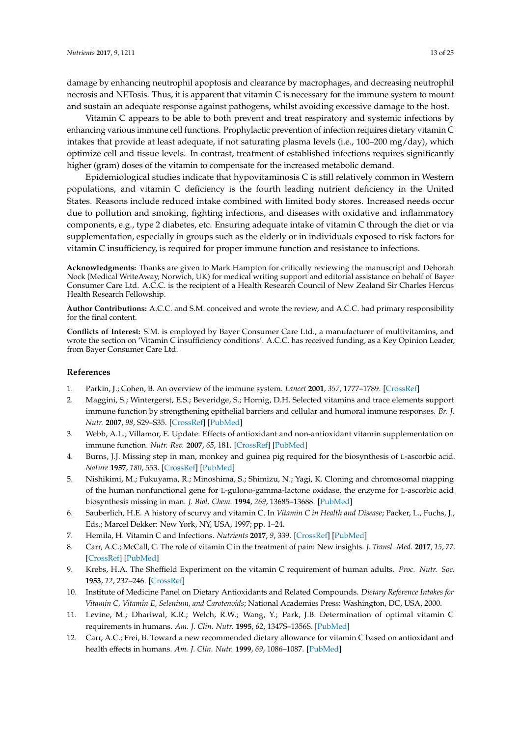damage by enhancing neutrophil apoptosis and clearance by macrophages, and decreasing neutrophil necrosis and NETosis. Thus, it is apparent that vitamin C is necessary for the immune system to mount and sustain an adequate response against pathogens, whilst avoiding excessive damage to the host.

Vitamin C appears to be able to both prevent and treat respiratory and systemic infections by enhancing various immune cell functions. Prophylactic prevention of infection requires dietary vitamin C intakes that provide at least adequate, if not saturating plasma levels (i.e., 100–200 mg/day), which optimize cell and tissue levels. In contrast, treatment of established infections requires significantly higher (gram) doses of the vitamin to compensate for the increased metabolic demand.

Epidemiological studies indicate that hypovitaminosis C is still relatively common in Western populations, and vitamin C deficiency is the fourth leading nutrient deficiency in the United States. Reasons include reduced intake combined with limited body stores. Increased needs occur due to pollution and smoking, fighting infections, and diseases with oxidative and inflammatory components, e.g., type 2 diabetes, etc. Ensuring adequate intake of vitamin C through the diet or via supplementation, especially in groups such as the elderly or in individuals exposed to risk factors for vitamin C insufficiency, is required for proper immune function and resistance to infections.

**Acknowledgments:** Thanks are given to Mark Hampton for critically reviewing the manuscript and Deborah Nock (Medical WriteAway, Norwich, UK) for medical writing support and editorial assistance on behalf of Bayer Consumer Care Ltd. A.C.C. is the recipient of a Health Research Council of New Zealand Sir Charles Hercus Health Research Fellowship.

**Author Contributions:** A.C.C. and S.M. conceived and wrote the review, and A.C.C. had primary responsibility for the final content.

**Conflicts of Interest:** S.M. is employed by Bayer Consumer Care Ltd., a manufacturer of multivitamins, and wrote the section on 'Vitamin C insufficiency conditions'. A.C.C. has received funding, as a Key Opinion Leader, from Bayer Consumer Care Ltd.

#### **References**

- <span id="page-12-1"></span><span id="page-12-0"></span>1. Parkin, J.; Cohen, B. An overview of the immune system. *Lancet* **2001**, *357*, 1777–1789. [\[CrossRef\]](http://dx.doi.org/10.1016/S0140-6736(00)04904-7)
- 2. Maggini, S.; Wintergerst, E.S.; Beveridge, S.; Hornig, D.H. Selected vitamins and trace elements support immune function by strengthening epithelial barriers and cellular and humoral immune responses. *Br. J. Nutr.* **2007**, *98*, S29–S35. [\[CrossRef\]](http://dx.doi.org/10.1017/S0007114507832971) [\[PubMed\]](http://www.ncbi.nlm.nih.gov/pubmed/17922955)
- <span id="page-12-2"></span>3. Webb, A.L.; Villamor, E. Update: Effects of antioxidant and non-antioxidant vitamin supplementation on immune function. *Nutr. Rev.* **2007**, *65*, 181. [\[CrossRef\]](http://dx.doi.org/10.1111/j.1753-4887.2007.tb00298.x) [\[PubMed\]](http://www.ncbi.nlm.nih.gov/pubmed/17566547)
- <span id="page-12-3"></span>4. Burns, J.J. Missing step in man, monkey and guinea pig required for the biosynthesis of L-ascorbic acid. *Nature* **1957**, *180*, 553. [\[CrossRef\]](http://dx.doi.org/10.1038/180553a0) [\[PubMed\]](http://www.ncbi.nlm.nih.gov/pubmed/13477232)
- <span id="page-12-4"></span>5. Nishikimi, M.; Fukuyama, R.; Minoshima, S.; Shimizu, N.; Yagi, K. Cloning and chromosomal mapping of the human nonfunctional gene for L-gulono-gamma-lactone oxidase, the enzyme for L-ascorbic acid biosynthesis missing in man. *J. Biol. Chem.* **1994**, *269*, 13685–13688. [\[PubMed\]](http://www.ncbi.nlm.nih.gov/pubmed/8175804)
- <span id="page-12-5"></span>6. Sauberlich, H.E. A history of scurvy and vitamin C. In *Vitamin C in Health and Disease*; Packer, L., Fuchs, J., Eds.; Marcel Dekker: New York, NY, USA, 1997; pp. 1–24.
- <span id="page-12-7"></span><span id="page-12-6"></span>7. Hemila, H. Vitamin C and Infections. *Nutrients* **2017**, *9*, 339. [\[CrossRef\]](http://dx.doi.org/10.3390/nu9040339) [\[PubMed\]](http://www.ncbi.nlm.nih.gov/pubmed/28353648)
- 8. Carr, A.C.; McCall, C. The role of vitamin C in the treatment of pain: New insights. *J. Transl. Med.* **2017**, *15*, 77. [\[CrossRef\]](http://dx.doi.org/10.1186/s12967-017-1179-7) [\[PubMed\]](http://www.ncbi.nlm.nih.gov/pubmed/28410599)
- <span id="page-12-8"></span>9. Krebs, H.A. The Sheffield Experiment on the vitamin C requirement of human adults. *Proc. Nutr. Soc.* **1953**, *12*, 237–246. [\[CrossRef\]](http://dx.doi.org/10.1079/PNS19530054)
- <span id="page-12-9"></span>10. Institute of Medicine Panel on Dietary Antioxidants and Related Compounds. *Dietary Reference Intakes for Vitamin C, Vitamin E, Selenium, and Carotenoids*; National Academies Press: Washington, DC, USA, 2000.
- <span id="page-12-10"></span>11. Levine, M.; Dhariwal, K.R.; Welch, R.W.; Wang, Y.; Park, J.B. Determination of optimal vitamin C requirements in humans. *Am. J. Clin. Nutr.* **1995**, *62*, 1347S–1356S. [\[PubMed\]](http://www.ncbi.nlm.nih.gov/pubmed/7495230)
- <span id="page-12-11"></span>12. Carr, A.C.; Frei, B. Toward a new recommended dietary allowance for vitamin C based on antioxidant and health effects in humans. *Am. J. Clin. Nutr.* **1999**, *69*, 1086–1087. [\[PubMed\]](http://www.ncbi.nlm.nih.gov/pubmed/10357726)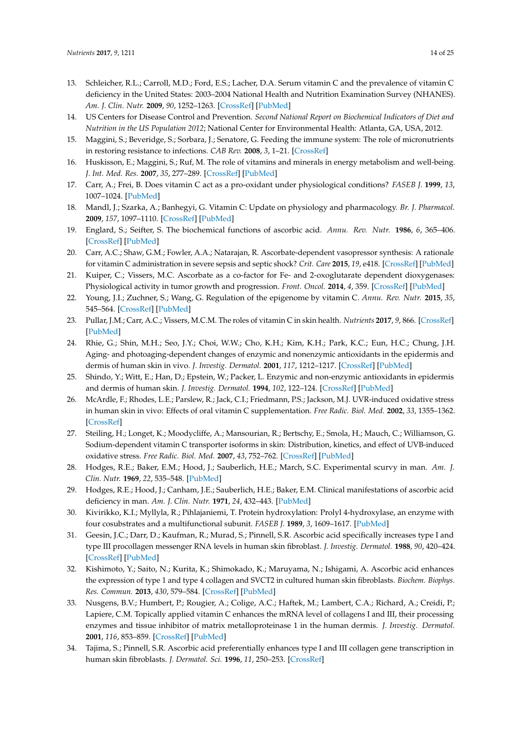- <span id="page-13-0"></span>13. Schleicher, R.L.; Carroll, M.D.; Ford, E.S.; Lacher, D.A. Serum vitamin C and the prevalence of vitamin C deficiency in the United States: 2003–2004 National Health and Nutrition Examination Survey (NHANES). *Am. J. Clin. Nutr.* **2009**, *90*, 1252–1263. [\[CrossRef\]](http://dx.doi.org/10.3945/ajcn.2008.27016) [\[PubMed\]](http://www.ncbi.nlm.nih.gov/pubmed/19675106)
- <span id="page-13-1"></span>14. US Centers for Disease Control and Prevention. *Second National Report on Biochemical Indicators of Diet and Nutrition in the US Population 2012*; National Center for Environmental Health: Atlanta, GA, USA, 2012.
- <span id="page-13-2"></span>15. Maggini, S.; Beveridge, S.; Sorbara, J.; Senatore, G. Feeding the immune system: The role of micronutrients in restoring resistance to infections. *CAB Rev.* **2008**, *3*, 1–21. [\[CrossRef\]](http://dx.doi.org/10.1079/PAVSNNR20083098)
- <span id="page-13-3"></span>16. Huskisson, E.; Maggini, S.; Ruf, M. The role of vitamins and minerals in energy metabolism and well-being. *J. Int. Med. Res.* **2007**, *35*, 277–289. [\[CrossRef\]](http://dx.doi.org/10.1177/147323000703500301) [\[PubMed\]](http://www.ncbi.nlm.nih.gov/pubmed/17593855)
- <span id="page-13-4"></span>17. Carr, A.; Frei, B. Does vitamin C act as a pro-oxidant under physiological conditions? *FASEB J.* **1999**, *13*, 1007–1024. [\[PubMed\]](http://www.ncbi.nlm.nih.gov/pubmed/10336883)
- <span id="page-13-5"></span>18. Mandl, J.; Szarka, A.; Banhegyi, G. Vitamin C: Update on physiology and pharmacology. *Br. J. Pharmacol.* **2009**, *157*, 1097–1110. [\[CrossRef\]](http://dx.doi.org/10.1111/j.1476-5381.2009.00282.x) [\[PubMed\]](http://www.ncbi.nlm.nih.gov/pubmed/19508394)
- <span id="page-13-6"></span>19. Englard, S.; Seifter, S. The biochemical functions of ascorbic acid. *Annu. Rev. Nutr.* **1986**, *6*, 365–406. [\[CrossRef\]](http://dx.doi.org/10.1146/annurev.nu.06.070186.002053) [\[PubMed\]](http://www.ncbi.nlm.nih.gov/pubmed/3015170)
- <span id="page-13-7"></span>20. Carr, A.C.; Shaw, G.M.; Fowler, A.A.; Natarajan, R. Ascorbate-dependent vasopressor synthesis: A rationale for vitamin C administration in severe sepsis and septic shock? *Crit. Care* **2015**, *19*, e418. [\[CrossRef\]](http://dx.doi.org/10.1186/s13054-015-1131-2) [\[PubMed\]](http://www.ncbi.nlm.nih.gov/pubmed/26612352)
- <span id="page-13-8"></span>21. Kuiper, C.; Vissers, M.C. Ascorbate as a co-factor for Fe- and 2-oxoglutarate dependent dioxygenases: Physiological activity in tumor growth and progression. *Front. Oncol.* **2014**, *4*, 359. [\[CrossRef\]](http://dx.doi.org/10.3389/fonc.2014.00359) [\[PubMed\]](http://www.ncbi.nlm.nih.gov/pubmed/25540771)
- <span id="page-13-9"></span>22. Young, J.I.; Zuchner, S.; Wang, G. Regulation of the epigenome by vitamin C. *Annu. Rev. Nutr.* **2015**, *35*, 545–564. [\[CrossRef\]](http://dx.doi.org/10.1146/annurev-nutr-071714-034228) [\[PubMed\]](http://www.ncbi.nlm.nih.gov/pubmed/25974700)
- <span id="page-13-10"></span>23. Pullar, J.M.; Carr, A.C.; Vissers, M.C.M. The roles of vitamin C in skin health. *Nutrients* **2017**, *9*, 866. [\[CrossRef\]](http://dx.doi.org/10.3390/nu9080866) [\[PubMed\]](http://www.ncbi.nlm.nih.gov/pubmed/28805671)
- <span id="page-13-11"></span>24. Rhie, G.; Shin, M.H.; Seo, J.Y.; Choi, W.W.; Cho, K.H.; Kim, K.H.; Park, K.C.; Eun, H.C.; Chung, J.H. Aging- and photoaging-dependent changes of enzymic and nonenzymic antioxidants in the epidermis and dermis of human skin in vivo. *J. Investig. Dermatol.* **2001**, *117*, 1212–1217. [\[CrossRef\]](http://dx.doi.org/10.1046/j.0022-202x.2001.01469.x) [\[PubMed\]](http://www.ncbi.nlm.nih.gov/pubmed/11710935)
- 25. Shindo, Y.; Witt, E.; Han, D.; Epstein, W.; Packer, L. Enzymic and non-enzymic antioxidants in epidermis and dermis of human skin. *J. Investig. Dermatol.* **1994**, *102*, 122–124. [\[CrossRef\]](http://dx.doi.org/10.1111/1523-1747.ep12371744) [\[PubMed\]](http://www.ncbi.nlm.nih.gov/pubmed/8288904)
- <span id="page-13-12"></span>26. McArdle, F.; Rhodes, L.E.; Parslew, R.; Jack, C.I.; Friedmann, P.S.; Jackson, M.J. UVR-induced oxidative stress in human skin in vivo: Effects of oral vitamin C supplementation. *Free Radic. Biol. Med.* **2002**, *33*, 1355–1362. [\[CrossRef\]](http://dx.doi.org/10.1016/S0891-5849(02)01042-0)
- <span id="page-13-13"></span>27. Steiling, H.; Longet, K.; Moodycliffe, A.; Mansourian, R.; Bertschy, E.; Smola, H.; Mauch, C.; Williamson, G. Sodium-dependent vitamin C transporter isoforms in skin: Distribution, kinetics, and effect of UVB-induced oxidative stress. *Free Radic. Biol. Med.* **2007**, *43*, 752–762. [\[CrossRef\]](http://dx.doi.org/10.1016/j.freeradbiomed.2007.05.001) [\[PubMed\]](http://www.ncbi.nlm.nih.gov/pubmed/17664139)
- <span id="page-13-14"></span>28. Hodges, R.E.; Baker, E.M.; Hood, J.; Sauberlich, H.E.; March, S.C. Experimental scurvy in man. *Am. J. Clin. Nutr.* **1969**, *22*, 535–548. [\[PubMed\]](http://www.ncbi.nlm.nih.gov/pubmed/4977512)
- <span id="page-13-15"></span>29. Hodges, R.E.; Hood, J.; Canham, J.E.; Sauberlich, H.E.; Baker, E.M. Clinical manifestations of ascorbic acid deficiency in man. *Am. J. Clin. Nutr.* **1971**, *24*, 432–443. [\[PubMed\]](http://www.ncbi.nlm.nih.gov/pubmed/5090631)
- <span id="page-13-16"></span>30. Kivirikko, K.I.; Myllyla, R.; Pihlajaniemi, T. Protein hydroxylation: Prolyl 4-hydroxylase, an enzyme with four cosubstrates and a multifunctional subunit. *FASEB J.* **1989**, *3*, 1609–1617. [\[PubMed\]](http://www.ncbi.nlm.nih.gov/pubmed/2537773)
- <span id="page-13-17"></span>31. Geesin, J.C.; Darr, D.; Kaufman, R.; Murad, S.; Pinnell, S.R. Ascorbic acid specifically increases type I and type III procollagen messenger RNA levels in human skin fibroblast. *J. Investig. Dermatol.* **1988**, *90*, 420–424. [\[CrossRef\]](http://dx.doi.org/10.1111/1523-1747.ep12460849) [\[PubMed\]](http://www.ncbi.nlm.nih.gov/pubmed/3351329)
- 32. Kishimoto, Y.; Saito, N.; Kurita, K.; Shimokado, K.; Maruyama, N.; Ishigami, A. Ascorbic acid enhances the expression of type 1 and type 4 collagen and SVCT2 in cultured human skin fibroblasts. *Biochem. Biophys. Res. Commun.* **2013**, *430*, 579–584. [\[CrossRef\]](http://dx.doi.org/10.1016/j.bbrc.2012.11.110) [\[PubMed\]](http://www.ncbi.nlm.nih.gov/pubmed/23228664)
- 33. Nusgens, B.V.; Humbert, P.; Rougier, A.; Colige, A.C.; Haftek, M.; Lambert, C.A.; Richard, A.; Creidi, P.; Lapiere, C.M. Topically applied vitamin C enhances the mRNA level of collagens I and III, their processing enzymes and tissue inhibitor of matrix metalloproteinase 1 in the human dermis. *J. Investig. Dermatol.* **2001**, *116*, 853–859. [\[CrossRef\]](http://dx.doi.org/10.1046/j.0022-202x.2001.01362.x) [\[PubMed\]](http://www.ncbi.nlm.nih.gov/pubmed/11407971)
- 34. Tajima, S.; Pinnell, S.R. Ascorbic acid preferentially enhances type I and III collagen gene transcription in human skin fibroblasts. *J. Dermatol. Sci.* **1996**, *11*, 250–253. [\[CrossRef\]](http://dx.doi.org/10.1016/0923-1811(95)00640-0)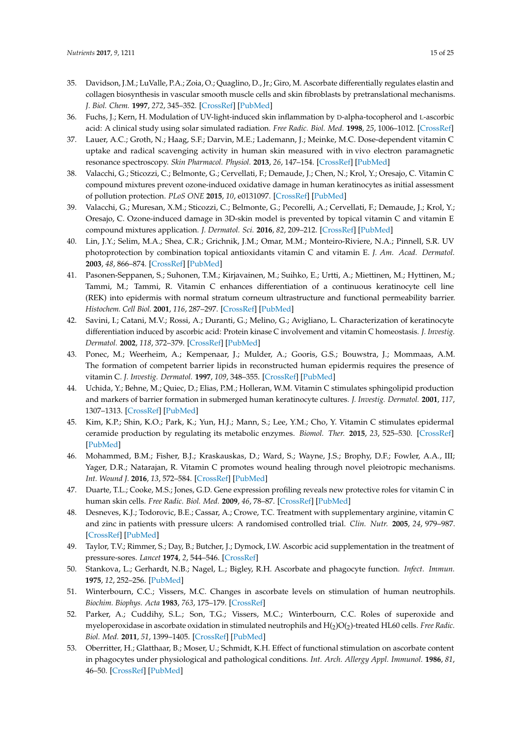- <span id="page-14-0"></span>35. Davidson, J.M.; LuValle, P.A.; Zoia, O.; Quaglino, D., Jr.; Giro, M. Ascorbate differentially regulates elastin and collagen biosynthesis in vascular smooth muscle cells and skin fibroblasts by pretranslational mechanisms. *J. Biol. Chem.* **1997**, *272*, 345–352. [\[CrossRef\]](http://dx.doi.org/10.1074/jbc.272.1.345) [\[PubMed\]](http://www.ncbi.nlm.nih.gov/pubmed/8995268)
- <span id="page-14-1"></span>36. Fuchs, J.; Kern, H. Modulation of UV-light-induced skin inflammation by D-alpha-tocopherol and L-ascorbic acid: A clinical study using solar simulated radiation. *Free Radic. Biol. Med.* **1998**, *25*, 1006–1012. [\[CrossRef\]](http://dx.doi.org/10.1016/S0891-5849(98)00132-4)
- <span id="page-14-11"></span>37. Lauer, A.C.; Groth, N.; Haag, S.F.; Darvin, M.E.; Lademann, J.; Meinke, M.C. Dose-dependent vitamin C uptake and radical scavenging activity in human skin measured with in vivo electron paramagnetic resonance spectroscopy. *Skin Pharmacol. Physiol.* **2013**, *26*, 147–154. [\[CrossRef\]](http://dx.doi.org/10.1159/000350833) [\[PubMed\]](http://www.ncbi.nlm.nih.gov/pubmed/23689595)
- <span id="page-14-12"></span>38. Valacchi, G.; Sticozzi, C.; Belmonte, G.; Cervellati, F.; Demaude, J.; Chen, N.; Krol, Y.; Oresajo, C. Vitamin C compound mixtures prevent ozone-induced oxidative damage in human keratinocytes as initial assessment of pollution protection. *PLoS ONE* **2015**, *10*, e0131097. [\[CrossRef\]](http://dx.doi.org/10.1371/journal.pone.0131097) [\[PubMed\]](http://www.ncbi.nlm.nih.gov/pubmed/26270818)
- <span id="page-14-13"></span>39. Valacchi, G.; Muresan, X.M.; Sticozzi, C.; Belmonte, G.; Pecorelli, A.; Cervellati, F.; Demaude, J.; Krol, Y.; Oresajo, C. Ozone-induced damage in 3D-skin model is prevented by topical vitamin C and vitamin E compound mixtures application. *J. Dermatol. Sci.* **2016**, *82*, 209–212. [\[CrossRef\]](http://dx.doi.org/10.1016/j.jdermsci.2016.02.007) [\[PubMed\]](http://www.ncbi.nlm.nih.gov/pubmed/26917348)
- <span id="page-14-2"></span>40. Lin, J.Y.; Selim, M.A.; Shea, C.R.; Grichnik, J.M.; Omar, M.M.; Monteiro-Riviere, N.A.; Pinnell, S.R. UV photoprotection by combination topical antioxidants vitamin C and vitamin E. *J. Am. Acad. Dermatol.* **2003**, *48*, 866–874. [\[CrossRef\]](http://dx.doi.org/10.1067/mjd.2003.425) [\[PubMed\]](http://www.ncbi.nlm.nih.gov/pubmed/12789176)
- <span id="page-14-3"></span>41. Pasonen-Seppanen, S.; Suhonen, T.M.; Kirjavainen, M.; Suihko, E.; Urtti, A.; Miettinen, M.; Hyttinen, M.; Tammi, M.; Tammi, R. Vitamin C enhances differentiation of a continuous keratinocyte cell line (REK) into epidermis with normal stratum corneum ultrastructure and functional permeability barrier. *Histochem. Cell Biol.* **2001**, *116*, 287–297. [\[CrossRef\]](http://dx.doi.org/10.1007/s004180100312) [\[PubMed\]](http://www.ncbi.nlm.nih.gov/pubmed/11702187)
- 42. Savini, I.; Catani, M.V.; Rossi, A.; Duranti, G.; Melino, G.; Avigliano, L. Characterization of keratinocyte differentiation induced by ascorbic acid: Protein kinase C involvement and vitamin C homeostasis. *J. Investig. Dermatol.* **2002**, *118*, 372–379. [\[CrossRef\]](http://dx.doi.org/10.1046/j.0022-202x.2001.01624.x) [\[PubMed\]](http://www.ncbi.nlm.nih.gov/pubmed/11841559)
- 43. Ponec, M.; Weerheim, A.; Kempenaar, J.; Mulder, A.; Gooris, G.S.; Bouwstra, J.; Mommaas, A.M. The formation of competent barrier lipids in reconstructed human epidermis requires the presence of vitamin C. *J. Investig. Dermatol.* **1997**, *109*, 348–355. [\[CrossRef\]](http://dx.doi.org/10.1111/1523-1747.ep12336024) [\[PubMed\]](http://www.ncbi.nlm.nih.gov/pubmed/9284103)
- 44. Uchida, Y.; Behne, M.; Quiec, D.; Elias, P.M.; Holleran, W.M. Vitamin C stimulates sphingolipid production and markers of barrier formation in submerged human keratinocyte cultures. *J. Investig. Dermatol.* **2001**, *117*, 1307–1313. [\[CrossRef\]](http://dx.doi.org/10.1046/j.0022-202x.2001.01555.x) [\[PubMed\]](http://www.ncbi.nlm.nih.gov/pubmed/11710949)
- <span id="page-14-4"></span>45. Kim, K.P.; Shin, K.O.; Park, K.; Yun, H.J.; Mann, S.; Lee, Y.M.; Cho, Y. Vitamin C stimulates epidermal ceramide production by regulating its metabolic enzymes. *Biomol. Ther.* **2015**, *23*, 525–530. [\[CrossRef\]](http://dx.doi.org/10.4062/biomolther.2015.044) [\[PubMed\]](http://www.ncbi.nlm.nih.gov/pubmed/26535077)
- <span id="page-14-5"></span>46. Mohammed, B.M.; Fisher, B.J.; Kraskauskas, D.; Ward, S.; Wayne, J.S.; Brophy, D.F.; Fowler, A.A., III; Yager, D.R.; Natarajan, R. Vitamin C promotes wound healing through novel pleiotropic mechanisms. *Int. Wound J.* **2016**, *13*, 572–584. [\[CrossRef\]](http://dx.doi.org/10.1111/iwj.12484) [\[PubMed\]](http://www.ncbi.nlm.nih.gov/pubmed/26290474)
- <span id="page-14-6"></span>47. Duarte, T.L.; Cooke, M.S.; Jones, G.D. Gene expression profiling reveals new protective roles for vitamin C in human skin cells. *Free Radic. Biol. Med.* **2009**, *46*, 78–87. [\[CrossRef\]](http://dx.doi.org/10.1016/j.freeradbiomed.2008.09.028) [\[PubMed\]](http://www.ncbi.nlm.nih.gov/pubmed/18973801)
- <span id="page-14-7"></span>48. Desneves, K.J.; Todorovic, B.E.; Cassar, A.; Crowe, T.C. Treatment with supplementary arginine, vitamin C and zinc in patients with pressure ulcers: A randomised controlled trial. *Clin. Nutr.* **2005**, *24*, 979–987. [\[CrossRef\]](http://dx.doi.org/10.1016/j.clnu.2005.06.011) [\[PubMed\]](http://www.ncbi.nlm.nih.gov/pubmed/16297506)
- <span id="page-14-8"></span>49. Taylor, T.V.; Rimmer, S.; Day, B.; Butcher, J.; Dymock, I.W. Ascorbic acid supplementation in the treatment of pressure-sores. *Lancet* **1974**, *2*, 544–546. [\[CrossRef\]](http://dx.doi.org/10.1016/S0140-6736(74)91874-1)
- <span id="page-14-9"></span>50. Stankova, L.; Gerhardt, N.B.; Nagel, L.; Bigley, R.H. Ascorbate and phagocyte function. *Infect. Immun.* **1975**, *12*, 252–256. [\[PubMed\]](http://www.ncbi.nlm.nih.gov/pubmed/1150324)
- 51. Winterbourn, C.C.; Vissers, M.C. Changes in ascorbate levels on stimulation of human neutrophils. *Biochim. Biophys. Acta* **1983**, *763*, 175–179. [\[CrossRef\]](http://dx.doi.org/10.1016/0167-4889(83)90041-1)
- 52. Parker, A.; Cuddihy, S.L.; Son, T.G.; Vissers, M.C.; Winterbourn, C.C. Roles of superoxide and myeloperoxidase in ascorbate oxidation in stimulated neutrophils and  $\rm H_{(2)}O(\rm _2)$ -treated HL60 cells. *Free Radic. Biol. Med.* **2011**, *51*, 1399–1405. [\[CrossRef\]](http://dx.doi.org/10.1016/j.freeradbiomed.2011.06.029) [\[PubMed\]](http://www.ncbi.nlm.nih.gov/pubmed/21791243)
- <span id="page-14-10"></span>53. Oberritter, H.; Glatthaar, B.; Moser, U.; Schmidt, K.H. Effect of functional stimulation on ascorbate content in phagocytes under physiological and pathological conditions. *Int. Arch. Allergy Appl. Immunol.* **1986**, *81*, 46–50. [\[CrossRef\]](http://dx.doi.org/10.1159/000234106) [\[PubMed\]](http://www.ncbi.nlm.nih.gov/pubmed/3744577)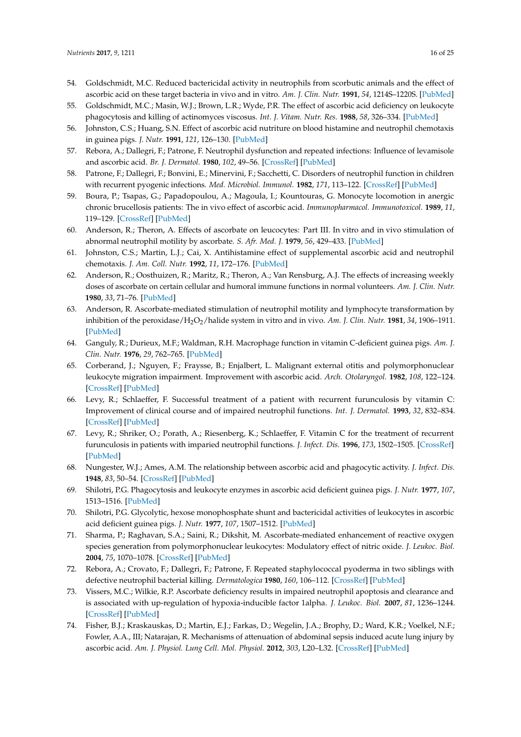- <span id="page-15-0"></span>54. Goldschmidt, M.C. Reduced bactericidal activity in neutrophils from scorbutic animals and the effect of ascorbic acid on these target bacteria in vivo and in vitro. *Am. J. Clin. Nutr.* **1991**, *54*, 1214S–1220S. [\[PubMed\]](http://www.ncbi.nlm.nih.gov/pubmed/1962573)
- <span id="page-15-4"></span>55. Goldschmidt, M.C.; Masin, W.J.; Brown, L.R.; Wyde, P.R. The effect of ascorbic acid deficiency on leukocyte phagocytosis and killing of actinomyces viscosus. *Int. J. Vitam. Nutr. Res.* **1988**, *58*, 326–334. [\[PubMed\]](http://www.ncbi.nlm.nih.gov/pubmed/2461911)
- <span id="page-15-12"></span>56. Johnston, C.S.; Huang, S.N. Effect of ascorbic acid nutriture on blood histamine and neutrophil chemotaxis in guinea pigs. *J. Nutr.* **1991**, *121*, 126–130. [\[PubMed\]](http://www.ncbi.nlm.nih.gov/pubmed/1992049)
- <span id="page-15-5"></span>57. Rebora, A.; Dallegri, F.; Patrone, F. Neutrophil dysfunction and repeated infections: Influence of levamisole and ascorbic acid. *Br. J. Dermatol.* **1980**, *102*, 49–56. [\[CrossRef\]](http://dx.doi.org/10.1111/j.1365-2133.1980.tb05671.x) [\[PubMed\]](http://www.ncbi.nlm.nih.gov/pubmed/7378281)
- <span id="page-15-6"></span>58. Patrone, F.; Dallegri, F.; Bonvini, E.; Minervini, F.; Sacchetti, C. Disorders of neutrophil function in children with recurrent pyogenic infections. *Med. Microbiol. Immunol.* **1982**, *171*, 113–122. [\[CrossRef\]](http://dx.doi.org/10.1007/BF02124918) [\[PubMed\]](http://www.ncbi.nlm.nih.gov/pubmed/7144693)
- 59. Boura, P.; Tsapas, G.; Papadopoulou, A.; Magoula, I.; Kountouras, G. Monocyte locomotion in anergic chronic brucellosis patients: The in vivo effect of ascorbic acid. *Immunopharmacol. Immunotoxicol.* **1989**, *11*, 119–129. [\[CrossRef\]](http://dx.doi.org/10.3109/08923978909082146) [\[PubMed\]](http://www.ncbi.nlm.nih.gov/pubmed/2760414)
- <span id="page-15-14"></span>60. Anderson, R.; Theron, A. Effects of ascorbate on leucocytes: Part III. In vitro and in vivo stimulation of abnormal neutrophil motility by ascorbate. *S. Afr. Med. J.* **1979**, *56*, 429–433. [\[PubMed\]](http://www.ncbi.nlm.nih.gov/pubmed/550365)
- <span id="page-15-13"></span>61. Johnston, C.S.; Martin, L.J.; Cai, X. Antihistamine effect of supplemental ascorbic acid and neutrophil chemotaxis. *J. Am. Coll. Nutr.* **1992**, *11*, 172–176. [\[PubMed\]](http://www.ncbi.nlm.nih.gov/pubmed/1578094)
- <span id="page-15-11"></span>62. Anderson, R.; Oosthuizen, R.; Maritz, R.; Theron, A.; Van Rensburg, A.J. The effects of increasing weekly doses of ascorbate on certain cellular and humoral immune functions in normal volunteers. *Am. J. Clin. Nutr.* **1980**, *33*, 71–76. [\[PubMed\]](http://www.ncbi.nlm.nih.gov/pubmed/7355784)
- <span id="page-15-1"></span>63. Anderson, R. Ascorbate-mediated stimulation of neutrophil motility and lymphocyte transformation by inhibition of the peroxidase/H2O2/halide system in vitro and in vivo. *Am. J. Clin. Nutr.* **1981**, *34*, 1906–1911. [\[PubMed\]](http://www.ncbi.nlm.nih.gov/pubmed/7282616)
- <span id="page-15-2"></span>64. Ganguly, R.; Durieux, M.F.; Waldman, R.H. Macrophage function in vitamin C-deficient guinea pigs. *Am. J. Clin. Nutr.* **1976**, *29*, 762–765. [\[PubMed\]](http://www.ncbi.nlm.nih.gov/pubmed/937230)
- <span id="page-15-15"></span>65. Corberand, J.; Nguyen, F.; Fraysse, B.; Enjalbert, L. Malignant external otitis and polymorphonuclear leukocyte migration impairment. Improvement with ascorbic acid. *Arch. Otolaryngol.* **1982**, *108*, 122–124. [\[CrossRef\]](http://dx.doi.org/10.1001/archotol.1982.00790500058015) [\[PubMed\]](http://www.ncbi.nlm.nih.gov/pubmed/7059315)
- <span id="page-15-18"></span>66. Levy, R.; Schlaeffer, F. Successful treatment of a patient with recurrent furunculosis by vitamin C: Improvement of clinical course and of impaired neutrophil functions. *Int. J. Dermatol.* **1993**, *32*, 832–834. [\[CrossRef\]](http://dx.doi.org/10.1111/j.1365-4362.1993.tb02780.x) [\[PubMed\]](http://www.ncbi.nlm.nih.gov/pubmed/8270350)
- <span id="page-15-16"></span>67. Levy, R.; Shriker, O.; Porath, A.; Riesenberg, K.; Schlaeffer, F. Vitamin C for the treatment of recurrent furunculosis in patients with imparied neutrophil functions. *J. Infect. Dis.* **1996**, *173*, 1502–1505. [\[CrossRef\]](http://dx.doi.org/10.1093/infdis/173.6.1502) [\[PubMed\]](http://www.ncbi.nlm.nih.gov/pubmed/8648230)
- <span id="page-15-17"></span>68. Nungester, W.J.; Ames, A.M. The relationship between ascorbic acid and phagocytic activity. *J. Infect. Dis.* **1948**, *83*, 50–54. [\[CrossRef\]](http://dx.doi.org/10.1093/infdis/83.1.50) [\[PubMed\]](http://www.ncbi.nlm.nih.gov/pubmed/18869807)
- 69. Shilotri, P.G. Phagocytosis and leukocyte enzymes in ascorbic acid deficient guinea pigs. *J. Nutr.* **1977**, *107*, 1513–1516. [\[PubMed\]](http://www.ncbi.nlm.nih.gov/pubmed/196059)
- <span id="page-15-7"></span>70. Shilotri, P.G. Glycolytic, hexose monophosphate shunt and bactericidal activities of leukocytes in ascorbic acid deficient guinea pigs. *J. Nutr.* **1977**, *107*, 1507–1512. [\[PubMed\]](http://www.ncbi.nlm.nih.gov/pubmed/328832)
- <span id="page-15-3"></span>71. Sharma, P.; Raghavan, S.A.; Saini, R.; Dikshit, M. Ascorbate-mediated enhancement of reactive oxygen species generation from polymorphonuclear leukocytes: Modulatory effect of nitric oxide. *J. Leukoc. Biol.* **2004**, *75*, 1070–1078. [\[CrossRef\]](http://dx.doi.org/10.1189/jlb.0903415) [\[PubMed\]](http://www.ncbi.nlm.nih.gov/pubmed/15039465)
- <span id="page-15-8"></span>72. Rebora, A.; Crovato, F.; Dallegri, F.; Patrone, F. Repeated staphylococcal pyoderma in two siblings with defective neutrophil bacterial killing. *Dermatologica* **1980**, *160*, 106–112. [\[CrossRef\]](http://dx.doi.org/10.1159/000250481) [\[PubMed\]](http://www.ncbi.nlm.nih.gov/pubmed/7351273)
- <span id="page-15-9"></span>73. Vissers, M.C.; Wilkie, R.P. Ascorbate deficiency results in impaired neutrophil apoptosis and clearance and is associated with up-regulation of hypoxia-inducible factor 1alpha. *J. Leukoc. Biol.* **2007**, *81*, 1236–1244. [\[CrossRef\]](http://dx.doi.org/10.1189/jlb.0806541) [\[PubMed\]](http://www.ncbi.nlm.nih.gov/pubmed/17264304)
- <span id="page-15-10"></span>74. Fisher, B.J.; Kraskauskas, D.; Martin, E.J.; Farkas, D.; Wegelin, J.A.; Brophy, D.; Ward, K.R.; Voelkel, N.F.; Fowler, A.A., III; Natarajan, R. Mechanisms of attenuation of abdominal sepsis induced acute lung injury by ascorbic acid. *Am. J. Physiol. Lung Cell. Mol. Physiol.* **2012**, *303*, L20–L32. [\[CrossRef\]](http://dx.doi.org/10.1152/ajplung.00300.2011) [\[PubMed\]](http://www.ncbi.nlm.nih.gov/pubmed/22523283)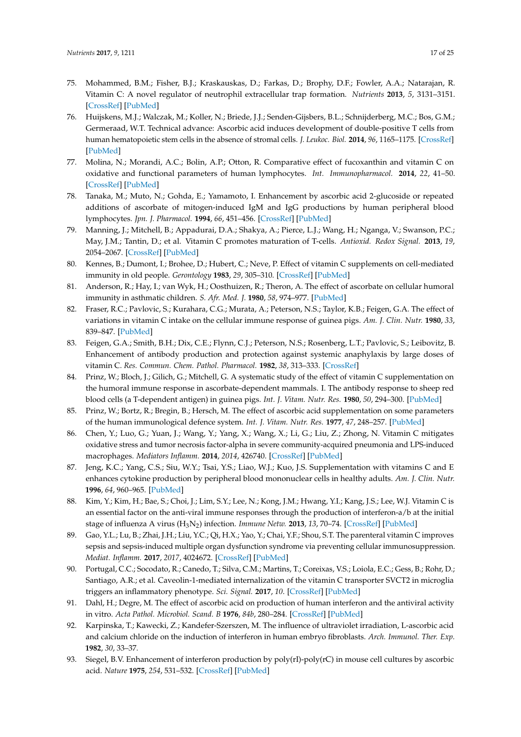- <span id="page-16-0"></span>75. Mohammed, B.M.; Fisher, B.J.; Kraskauskas, D.; Farkas, D.; Brophy, D.F.; Fowler, A.A.; Natarajan, R. Vitamin C: A novel regulator of neutrophil extracellular trap formation. *Nutrients* **2013**, *5*, 3131–3151. [\[CrossRef\]](http://dx.doi.org/10.3390/nu5083131) [\[PubMed\]](http://www.ncbi.nlm.nih.gov/pubmed/23939536)
- <span id="page-16-1"></span>76. Huijskens, M.J.; Walczak, M.; Koller, N.; Briede, J.J.; Senden-Gijsbers, B.L.; Schnijderberg, M.C.; Bos, G.M.; Germeraad, W.T. Technical advance: Ascorbic acid induces development of double-positive T cells from human hematopoietic stem cells in the absence of stromal cells. *J. Leukoc. Biol.* **2014**, *96*, 1165–1175. [\[CrossRef\]](http://dx.doi.org/10.1189/jlb.1TA0214-121RR) [\[PubMed\]](http://www.ncbi.nlm.nih.gov/pubmed/25157026)
- <span id="page-16-6"></span>77. Molina, N.; Morandi, A.C.; Bolin, A.P.; Otton, R. Comparative effect of fucoxanthin and vitamin C on oxidative and functional parameters of human lymphocytes. *Int. Immunopharmacol.* **2014**, *22*, 41–50. [\[CrossRef\]](http://dx.doi.org/10.1016/j.intimp.2014.06.026) [\[PubMed\]](http://www.ncbi.nlm.nih.gov/pubmed/24975831)
- <span id="page-16-3"></span>78. Tanaka, M.; Muto, N.; Gohda, E.; Yamamoto, I. Enhancement by ascorbic acid 2-glucoside or repeated additions of ascorbate of mitogen-induced IgM and IgG productions by human peripheral blood lymphocytes. *Jpn. J. Pharmacol.* **1994**, *66*, 451–456. [\[CrossRef\]](http://dx.doi.org/10.1254/jjp.66.451) [\[PubMed\]](http://www.ncbi.nlm.nih.gov/pubmed/7723222)
- <span id="page-16-8"></span>79. Manning, J.; Mitchell, B.; Appadurai, D.A.; Shakya, A.; Pierce, L.J.; Wang, H.; Nganga, V.; Swanson, P.C.; May, J.M.; Tantin, D.; et al. Vitamin C promotes maturation of T-cells. *Antioxid. Redox Signal.* **2013**, *19*, 2054–2067. [\[CrossRef\]](http://dx.doi.org/10.1089/ars.2012.4988) [\[PubMed\]](http://www.ncbi.nlm.nih.gov/pubmed/23249337)
- <span id="page-16-10"></span>80. Kennes, B.; Dumont, I.; Brohee, D.; Hubert, C.; Neve, P. Effect of vitamin C supplements on cell-mediated immunity in old people. *Gerontology* **1983**, *29*, 305–310. [\[CrossRef\]](http://dx.doi.org/10.1159/000213131) [\[PubMed\]](http://www.ncbi.nlm.nih.gov/pubmed/6604680)
- <span id="page-16-9"></span>81. Anderson, R.; Hay, I.; van Wyk, H.; Oosthuizen, R.; Theron, A. The effect of ascorbate on cellular humoral immunity in asthmatic children. *S. Afr. Med. J.* **1980**, *58*, 974–977. [\[PubMed\]](http://www.ncbi.nlm.nih.gov/pubmed/7444701)
- <span id="page-16-2"></span>82. Fraser, R.C.; Pavlovic, S.; Kurahara, C.G.; Murata, A.; Peterson, N.S.; Taylor, K.B.; Feigen, G.A. The effect of variations in vitamin C intake on the cellular immune response of guinea pigs. *Am. J. Clin. Nutr.* **1980**, *33*, 839–847. [\[PubMed\]](http://www.ncbi.nlm.nih.gov/pubmed/7361703)
- <span id="page-16-4"></span>83. Feigen, G.A.; Smith, B.H.; Dix, C.E.; Flynn, C.J.; Peterson, N.S.; Rosenberg, L.T.; Pavlovic, S.; Leibovitz, B. Enhancement of antibody production and protection against systemic anaphylaxis by large doses of vitamin C. *Res. Commun. Chem. Pathol. Pharmacol.* **1982**, *38*, 313–333. [\[CrossRef\]](http://dx.doi.org/10.1016/S0022-5347(17)52586-0)
- 84. Prinz, W.; Bloch, J.; Gilich, G.; Mitchell, G. A systematic study of the effect of vitamin C supplementation on the humoral immune response in ascorbate-dependent mammals. I. The antibody response to sheep red blood cells (a T-dependent antigen) in guinea pigs. *Int. J. Vitam. Nutr. Res.* **1980**, *50*, 294–300. [\[PubMed\]](http://www.ncbi.nlm.nih.gov/pubmed/7429758)
- <span id="page-16-5"></span>85. Prinz, W.; Bortz, R.; Bregin, B.; Hersch, M. The effect of ascorbic acid supplementation on some parameters of the human immunological defence system. *Int. J. Vitam. Nutr. Res.* **1977**, *47*, 248–257. [\[PubMed\]](http://www.ncbi.nlm.nih.gov/pubmed/914459)
- <span id="page-16-7"></span>86. Chen, Y.; Luo, G.; Yuan, J.; Wang, Y.; Yang, X.; Wang, X.; Li, G.; Liu, Z.; Zhong, N. Vitamin C mitigates oxidative stress and tumor necrosis factor-alpha in severe community-acquired pneumonia and LPS-induced macrophages. *Mediators Inflamm.* **2014**, *2014*, 426740. [\[CrossRef\]](http://dx.doi.org/10.1155/2014/426740) [\[PubMed\]](http://www.ncbi.nlm.nih.gov/pubmed/25253919)
- <span id="page-16-12"></span>87. Jeng, K.C.; Yang, C.S.; Siu, W.Y.; Tsai, Y.S.; Liao, W.J.; Kuo, J.S. Supplementation with vitamins C and E enhances cytokine production by peripheral blood mononuclear cells in healthy adults. *Am. J. Clin. Nutr.* **1996**, *64*, 960–965. [\[PubMed\]](http://www.ncbi.nlm.nih.gov/pubmed/8942423)
- <span id="page-16-16"></span>88. Kim, Y.; Kim, H.; Bae, S.; Choi, J.; Lim, S.Y.; Lee, N.; Kong, J.M.; Hwang, Y.I.; Kang, J.S.; Lee, W.J. Vitamin C is an essential factor on the anti-viral immune responses through the production of interferon-a/b at the initial stage of influenza A virus (H3N<sup>2</sup> ) infection. *Immune Netw.* **2013**, *13*, 70–74. [\[CrossRef\]](http://dx.doi.org/10.4110/in.2013.13.2.70) [\[PubMed\]](http://www.ncbi.nlm.nih.gov/pubmed/23700397)
- <span id="page-16-11"></span>89. Gao, Y.L.; Lu, B.; Zhai, J.H.; Liu, Y.C.; Qi, H.X.; Yao, Y.; Chai, Y.F.; Shou, S.T. The parenteral vitamin C improves sepsis and sepsis-induced multiple organ dysfunction syndrome via preventing cellular immunosuppression. *Mediat. Inflamm.* **2017**, *2017*, 4024672. [\[CrossRef\]](http://dx.doi.org/10.1155/2017/4024672) [\[PubMed\]](http://www.ncbi.nlm.nih.gov/pubmed/28210072)
- <span id="page-16-15"></span>90. Portugal, C.C.; Socodato, R.; Canedo, T.; Silva, C.M.; Martins, T.; Coreixas, V.S.; Loiola, E.C.; Gess, B.; Rohr, D.; Santiago, A.R.; et al. Caveolin-1-mediated internalization of the vitamin C transporter SVCT2 in microglia triggers an inflammatory phenotype. *Sci. Signal.* **2017**, *10*. [\[CrossRef\]](http://dx.doi.org/10.1126/scisignal.aal2005) [\[PubMed\]](http://www.ncbi.nlm.nih.gov/pubmed/28351945)
- <span id="page-16-13"></span>91. Dahl, H.; Degre, M. The effect of ascorbic acid on production of human interferon and the antiviral activity in vitro. *Acta Pathol. Microbiol. Scand. B* **1976**, *84b*, 280–284. [\[CrossRef\]](http://dx.doi.org/10.1111/j.1699-0463.1976.tb01938.x) [\[PubMed\]](http://www.ncbi.nlm.nih.gov/pubmed/970135)
- 92. Karpinska, T.; Kawecki, Z.; Kandefer-Szerszen, M. The influence of ultraviolet irradiation, L-ascorbic acid and calcium chloride on the induction of interferon in human embryo fibroblasts. *Arch. Immunol. Ther. Exp.* **1982**, *30*, 33–37.
- <span id="page-16-14"></span>93. Siegel, B.V. Enhancement of interferon production by poly(rI)-poly(rC) in mouse cell cultures by ascorbic acid. *Nature* **1975**, *254*, 531–532. [\[CrossRef\]](http://dx.doi.org/10.1038/254531a0) [\[PubMed\]](http://www.ncbi.nlm.nih.gov/pubmed/1121329)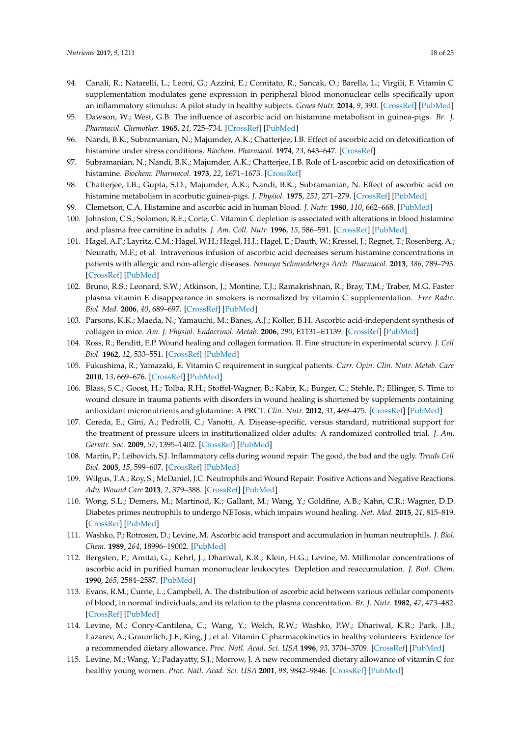- <span id="page-17-0"></span>94. Canali, R.; Natarelli, L.; Leoni, G.; Azzini, E.; Comitato, R.; Sancak, O.; Barella, L.; Virgili, F. Vitamin C supplementation modulates gene expression in peripheral blood mononuclear cells specifically upon an inflammatory stimulus: A pilot study in healthy subjects. *Genes Nutr.* **2014**, *9*, 390. [\[CrossRef\]](http://dx.doi.org/10.1007/s12263-014-0390-x) [\[PubMed\]](http://www.ncbi.nlm.nih.gov/pubmed/24604612)
- <span id="page-17-1"></span>95. Dawson, W.; West, G.B. The influence of ascorbic acid on histamine metabolism in guinea-pigs. *Br. J. Pharmacol. Chemother.* **1965**, *24*, 725–734. [\[CrossRef\]](http://dx.doi.org/10.1111/j.1476-5381.1965.tb01628.x) [\[PubMed\]](http://www.ncbi.nlm.nih.gov/pubmed/14340926)
- <span id="page-17-17"></span>96. Nandi, B.K.; Subramanian, N.; Majumder, A.K.; Chatterjee, I.B. Effect of ascorbic acid on detoxification of histamine under stress conditions. *Biochem. Pharmacol.* **1974**, *23*, 643–647. [\[CrossRef\]](http://dx.doi.org/10.1016/0006-2952(74)90629-7)
- <span id="page-17-19"></span>97. Subramanian, N.; Nandi, B.K.; Majumder, A.K.; Chatterjee, I.B. Role of L-ascorbic acid on detoxification of histamine. *Biochem. Pharmacol.* **1973**, *22*, 1671–1673. [\[CrossRef\]](http://dx.doi.org/10.1016/0006-2952(73)90036-1)
- <span id="page-17-16"></span>98. Chatterjee, I.B.; Gupta, S.D.; Majumder, A.K.; Nandi, B.K.; Subramanian, N. Effect of ascorbic acid on histamine metabolism in scorbutic guinea-pigs. *J. Physiol.* **1975**, *251*, 271–279. [\[CrossRef\]](http://dx.doi.org/10.1113/jphysiol.1975.sp011091) [\[PubMed\]](http://www.ncbi.nlm.nih.gov/pubmed/52707)
- <span id="page-17-18"></span>99. Clemetson, C.A. Histamine and ascorbic acid in human blood. *J. Nutr.* **1980**, *110*, 662–668. [\[PubMed\]](http://www.ncbi.nlm.nih.gov/pubmed/7365537)
- 100. Johnston, C.S.; Solomon, R.E.; Corte, C. Vitamin C depletion is associated with alterations in blood histamine and plasma free carnitine in adults. *J. Am. Coll. Nutr.* **1996**, *15*, 586–591. [\[CrossRef\]](http://dx.doi.org/10.1080/07315724.1996.10718634) [\[PubMed\]](http://www.ncbi.nlm.nih.gov/pubmed/8951736)
- <span id="page-17-2"></span>101. Hagel, A.F.; Layritz, C.M.; Hagel, W.H.; Hagel, H.J.; Hagel, E.; Dauth, W.; Kressel, J.; Regnet, T.; Rosenberg, A.; Neurath, M.F.; et al. Intravenous infusion of ascorbic acid decreases serum histamine concentrations in patients with allergic and non-allergic diseases. *Naunyn Schmiedebergs Arch. Pharmacol.* **2013**, *386*, 789–793. [\[CrossRef\]](http://dx.doi.org/10.1007/s00210-013-0880-1) [\[PubMed\]](http://www.ncbi.nlm.nih.gov/pubmed/23666445)
- <span id="page-17-3"></span>102. Bruno, R.S.; Leonard, S.W.; Atkinson, J.; Montine, T.J.; Ramakrishnan, R.; Bray, T.M.; Traber, M.G. Faster plasma vitamin E disappearance in smokers is normalized by vitamin C supplementation. *Free Radic. Biol. Med.* **2006**, *40*, 689–697. [\[CrossRef\]](http://dx.doi.org/10.1016/j.freeradbiomed.2005.10.051) [\[PubMed\]](http://www.ncbi.nlm.nih.gov/pubmed/16458200)
- <span id="page-17-4"></span>103. Parsons, K.K.; Maeda, N.; Yamauchi, M.; Banes, A.J.; Koller, B.H. Ascorbic acid-independent synthesis of collagen in mice. *Am. J. Physiol. Endocrinol. Metab.* **2006**, *290*, E1131–E1139. [\[CrossRef\]](http://dx.doi.org/10.1152/ajpendo.00339.2005) [\[PubMed\]](http://www.ncbi.nlm.nih.gov/pubmed/16352673)
- <span id="page-17-5"></span>104. Ross, R.; Benditt, E.P. Wound healing and collagen formation. II. Fine structure in experimental scurvy. *J. Cell Biol.* **1962**, *12*, 533–551. [\[CrossRef\]](http://dx.doi.org/10.1083/jcb.12.3.533) [\[PubMed\]](http://www.ncbi.nlm.nih.gov/pubmed/14494203)
- <span id="page-17-6"></span>105. Fukushima, R.; Yamazaki, E. Vitamin C requirement in surgical patients. *Curr. Opin. Clin. Nutr. Metab. Care* **2010**, *13*, 669–676. [\[CrossRef\]](http://dx.doi.org/10.1097/MCO.0b013e32833e05bc) [\[PubMed\]](http://www.ncbi.nlm.nih.gov/pubmed/20689415)
- <span id="page-17-7"></span>106. Blass, S.C.; Goost, H.; Tolba, R.H.; Stoffel-Wagner, B.; Kabir, K.; Burger, C.; Stehle, P.; Ellinger, S. Time to wound closure in trauma patients with disorders in wound healing is shortened by supplements containing antioxidant micronutrients and glutamine: A PRCT. *Clin. Nutr.* **2012**, *31*, 469–475. [\[CrossRef\]](http://dx.doi.org/10.1016/j.clnu.2012.01.002) [\[PubMed\]](http://www.ncbi.nlm.nih.gov/pubmed/22284340)
- <span id="page-17-8"></span>107. Cereda, E.; Gini, A.; Pedrolli, C.; Vanotti, A. Disease-specific, versus standard, nutritional support for the treatment of pressure ulcers in institutionalized older adults: A randomized controlled trial. *J. Am. Geriatr. Soc.* **2009**, *57*, 1395–1402. [\[CrossRef\]](http://dx.doi.org/10.1111/j.1532-5415.2009.02351.x) [\[PubMed\]](http://www.ncbi.nlm.nih.gov/pubmed/19563522)
- <span id="page-17-9"></span>108. Martin, P.; Leibovich, S.J. Inflammatory cells during wound repair: The good, the bad and the ugly. *Trends Cell Biol.* **2005**, *15*, 599–607. [\[CrossRef\]](http://dx.doi.org/10.1016/j.tcb.2005.09.002) [\[PubMed\]](http://www.ncbi.nlm.nih.gov/pubmed/16202600)
- <span id="page-17-10"></span>109. Wilgus, T.A.; Roy, S.; McDaniel, J.C. Neutrophils and Wound Repair: Positive Actions and Negative Reactions. *Adv. Wound Care* **2013**, *2*, 379–388. [\[CrossRef\]](http://dx.doi.org/10.1089/wound.2012.0383) [\[PubMed\]](http://www.ncbi.nlm.nih.gov/pubmed/24527354)
- <span id="page-17-11"></span>110. Wong, S.L.; Demers, M.; Martinod, K.; Gallant, M.; Wang, Y.; Goldfine, A.B.; Kahn, C.R.; Wagner, D.D. Diabetes primes neutrophils to undergo NETosis, which impairs wound healing. *Nat. Med.* **2015**, *21*, 815–819. [\[CrossRef\]](http://dx.doi.org/10.1038/nm.3887) [\[PubMed\]](http://www.ncbi.nlm.nih.gov/pubmed/26076037)
- <span id="page-17-12"></span>111. Washko, P.; Rotrosen, D.; Levine, M. Ascorbic acid transport and accumulation in human neutrophils. *J. Biol. Chem.* **1989**, *264*, 18996–19002. [\[PubMed\]](http://www.ncbi.nlm.nih.gov/pubmed/2681206)
- 112. Bergsten, P.; Amitai, G.; Kehrl, J.; Dhariwal, K.R.; Klein, H.G.; Levine, M. Millimolar concentrations of ascorbic acid in purified human mononuclear leukocytes. Depletion and reaccumulation. *J. Biol. Chem.* **1990**, *265*, 2584–2587. [\[PubMed\]](http://www.ncbi.nlm.nih.gov/pubmed/2303417)
- <span id="page-17-13"></span>113. Evans, R.M.; Currie, L.; Campbell, A. The distribution of ascorbic acid between various cellular components of blood, in normal individuals, and its relation to the plasma concentration. *Br. J. Nutr.* **1982**, *47*, 473–482. [\[CrossRef\]](http://dx.doi.org/10.1079/BJN19820059) [\[PubMed\]](http://www.ncbi.nlm.nih.gov/pubmed/7082619)
- <span id="page-17-14"></span>114. Levine, M.; Conry-Cantilena, C.; Wang, Y.; Welch, R.W.; Washko, P.W.; Dhariwal, K.R.; Park, J.B.; Lazarev, A.; Graumlich, J.F.; King, J.; et al. Vitamin C pharmacokinetics in healthy volunteers: Evidence for a recommended dietary allowance. *Proc. Natl. Acad. Sci. USA* **1996**, *93*, 3704–3709. [\[CrossRef\]](http://dx.doi.org/10.1073/pnas.93.8.3704) [\[PubMed\]](http://www.ncbi.nlm.nih.gov/pubmed/8623000)
- <span id="page-17-15"></span>115. Levine, M.; Wang, Y.; Padayatty, S.J.; Morrow, J. A new recommended dietary allowance of vitamin C for healthy young women. *Proc. Natl. Acad. Sci. USA* **2001**, *98*, 9842–9846. [\[CrossRef\]](http://dx.doi.org/10.1073/pnas.171318198) [\[PubMed\]](http://www.ncbi.nlm.nih.gov/pubmed/11504949)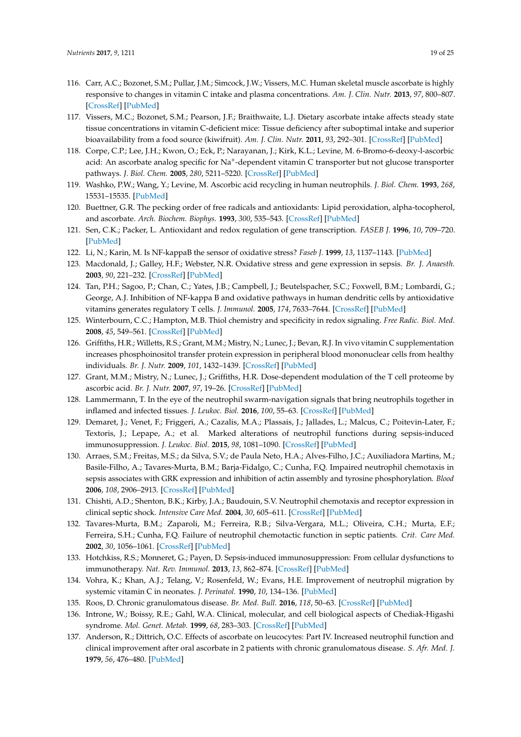- <span id="page-18-0"></span>116. Carr, A.C.; Bozonet, S.M.; Pullar, J.M.; Simcock, J.W.; Vissers, M.C. Human skeletal muscle ascorbate is highly responsive to changes in vitamin C intake and plasma concentrations. *Am. J. Clin. Nutr.* **2013**, *97*, 800–807. [\[CrossRef\]](http://dx.doi.org/10.3945/ajcn.112.053207) [\[PubMed\]](http://www.ncbi.nlm.nih.gov/pubmed/23446899)
- <span id="page-18-1"></span>117. Vissers, M.C.; Bozonet, S.M.; Pearson, J.F.; Braithwaite, L.J. Dietary ascorbate intake affects steady state tissue concentrations in vitamin C-deficient mice: Tissue deficiency after suboptimal intake and superior bioavailability from a food source (kiwifruit). *Am. J. Clin. Nutr.* **2011**, *93*, 292–301. [\[CrossRef\]](http://dx.doi.org/10.3945/ajcn.110.004853) [\[PubMed\]](http://www.ncbi.nlm.nih.gov/pubmed/21123463)
- <span id="page-18-2"></span>118. Corpe, C.P.; Lee, J.H.; Kwon, O.; Eck, P.; Narayanan, J.; Kirk, K.L.; Levine, M. 6-Bromo-6-deoxy-l-ascorbic acid: An ascorbate analog specific for Na<sup>+</sup>-dependent vitamin C transporter but not glucose transporter pathways. *J. Biol. Chem.* **2005**, *280*, 5211–5220. [\[CrossRef\]](http://dx.doi.org/10.1074/jbc.M412925200) [\[PubMed\]](http://www.ncbi.nlm.nih.gov/pubmed/15590689)
- <span id="page-18-3"></span>119. Washko, P.W.; Wang, Y.; Levine, M. Ascorbic acid recycling in human neutrophils. *J. Biol. Chem.* **1993**, *268*, 15531–15535. [\[PubMed\]](http://www.ncbi.nlm.nih.gov/pubmed/8340380)
- <span id="page-18-4"></span>120. Buettner, G.R. The pecking order of free radicals and antioxidants: Lipid peroxidation, alpha-tocopherol, and ascorbate. *Arch. Biochem. Biophys.* **1993**, *300*, 535–543. [\[CrossRef\]](http://dx.doi.org/10.1006/abbi.1993.1074) [\[PubMed\]](http://www.ncbi.nlm.nih.gov/pubmed/8434935)
- <span id="page-18-5"></span>121. Sen, C.K.; Packer, L. Antioxidant and redox regulation of gene transcription. *FASEB J.* **1996**, *10*, 709–720. [\[PubMed\]](http://www.ncbi.nlm.nih.gov/pubmed/8635688)
- <span id="page-18-6"></span>122. Li, N.; Karin, M. Is NF-kappaB the sensor of oxidative stress? *Faseb J.* **1999**, *13*, 1137–1143. [\[PubMed\]](http://www.ncbi.nlm.nih.gov/pubmed/10385605)
- <span id="page-18-7"></span>123. Macdonald, J.; Galley, H.F.; Webster, N.R. Oxidative stress and gene expression in sepsis. *Br. J. Anaesth.* **2003**, *90*, 221–232. [\[CrossRef\]](http://dx.doi.org/10.1093/bja/aeg034) [\[PubMed\]](http://www.ncbi.nlm.nih.gov/pubmed/12538380)
- <span id="page-18-8"></span>124. Tan, P.H.; Sagoo, P.; Chan, C.; Yates, J.B.; Campbell, J.; Beutelspacher, S.C.; Foxwell, B.M.; Lombardi, G.; George, A.J. Inhibition of NF-kappa B and oxidative pathways in human dendritic cells by antioxidative vitamins generates regulatory T cells. *J. Immunol.* **2005**, *174*, 7633–7644. [\[CrossRef\]](http://dx.doi.org/10.4049/jimmunol.174.12.7633) [\[PubMed\]](http://www.ncbi.nlm.nih.gov/pubmed/15944264)
- <span id="page-18-9"></span>125. Winterbourn, C.C.; Hampton, M.B. Thiol chemistry and specificity in redox signaling. *Free Radic. Biol. Med.* **2008**, *45*, 549–561. [\[CrossRef\]](http://dx.doi.org/10.1016/j.freeradbiomed.2008.05.004) [\[PubMed\]](http://www.ncbi.nlm.nih.gov/pubmed/18544350)
- <span id="page-18-10"></span>126. Griffiths, H.R.; Willetts, R.S.; Grant, M.M.; Mistry, N.; Lunec, J.; Bevan, R.J. In vivo vitamin C supplementation increases phosphoinositol transfer protein expression in peripheral blood mononuclear cells from healthy individuals. *Br. J. Nutr.* **2009**, *101*, 1432–1439. [\[CrossRef\]](http://dx.doi.org/10.1017/S0007114508079646) [\[PubMed\]](http://www.ncbi.nlm.nih.gov/pubmed/18947437)
- <span id="page-18-11"></span>127. Grant, M.M.; Mistry, N.; Lunec, J.; Griffiths, H.R. Dose-dependent modulation of the T cell proteome by ascorbic acid. *Br. J. Nutr.* **2007**, *97*, 19–26. [\[CrossRef\]](http://dx.doi.org/10.1017/S0007114507197592) [\[PubMed\]](http://www.ncbi.nlm.nih.gov/pubmed/17217556)
- <span id="page-18-12"></span>128. Lammermann, T. In the eye of the neutrophil swarm-navigation signals that bring neutrophils together in inflamed and infected tissues. *J. Leukoc. Biol.* **2016**, *100*, 55–63. [\[CrossRef\]](http://dx.doi.org/10.1189/jlb.1MR0915-403) [\[PubMed\]](http://www.ncbi.nlm.nih.gov/pubmed/26416718)
- <span id="page-18-13"></span>129. Demaret, J.; Venet, F.; Friggeri, A.; Cazalis, M.A.; Plassais, J.; Jallades, L.; Malcus, C.; Poitevin-Later, F.; Textoris, J.; Lepape, A.; et al. Marked alterations of neutrophil functions during sepsis-induced immunosuppression. *J. Leukoc. Biol.* **2015**, *98*, 1081–1090. [\[CrossRef\]](http://dx.doi.org/10.1189/jlb.4A0415-168RR) [\[PubMed\]](http://www.ncbi.nlm.nih.gov/pubmed/26224052)
- 130. Arraes, S.M.; Freitas, M.S.; da Silva, S.V.; de Paula Neto, H.A.; Alves-Filho, J.C.; Auxiliadora Martins, M.; Basile-Filho, A.; Tavares-Murta, B.M.; Barja-Fidalgo, C.; Cunha, F.Q. Impaired neutrophil chemotaxis in sepsis associates with GRK expression and inhibition of actin assembly and tyrosine phosphorylation. *Blood* **2006**, *108*, 2906–2913. [\[CrossRef\]](http://dx.doi.org/10.1182/blood-2006-05-024638) [\[PubMed\]](http://www.ncbi.nlm.nih.gov/pubmed/16849637)
- 131. Chishti, A.D.; Shenton, B.K.; Kirby, J.A.; Baudouin, S.V. Neutrophil chemotaxis and receptor expression in clinical septic shock. *Intensive Care Med.* **2004**, *30*, 605–611. [\[CrossRef\]](http://dx.doi.org/10.1007/s00134-004-2175-y) [\[PubMed\]](http://www.ncbi.nlm.nih.gov/pubmed/14991094)
- <span id="page-18-14"></span>132. Tavares-Murta, B.M.; Zaparoli, M.; Ferreira, R.B.; Silva-Vergara, M.L.; Oliveira, C.H.; Murta, E.F.; Ferreira, S.H.; Cunha, F.Q. Failure of neutrophil chemotactic function in septic patients. *Crit. Care Med.* **2002**, *30*, 1056–1061. [\[CrossRef\]](http://dx.doi.org/10.1097/00003246-200205000-00017) [\[PubMed\]](http://www.ncbi.nlm.nih.gov/pubmed/12006803)
- <span id="page-18-15"></span>133. Hotchkiss, R.S.; Monneret, G.; Payen, D. Sepsis-induced immunosuppression: From cellular dysfunctions to immunotherapy. *Nat. Rev. Immunol.* **2013**, *13*, 862–874. [\[CrossRef\]](http://dx.doi.org/10.1038/nri3552) [\[PubMed\]](http://www.ncbi.nlm.nih.gov/pubmed/24232462)
- <span id="page-18-16"></span>134. Vohra, K.; Khan, A.J.; Telang, V.; Rosenfeld, W.; Evans, H.E. Improvement of neutrophil migration by systemic vitamin C in neonates. *J. Perinatol.* **1990**, *10*, 134–136. [\[PubMed\]](http://www.ncbi.nlm.nih.gov/pubmed/2358895)
- <span id="page-18-17"></span>135. Roos, D. Chronic granulomatous disease. *Br. Med. Bull.* **2016**, *118*, 50–63. [\[CrossRef\]](http://dx.doi.org/10.1093/bmb/ldw009) [\[PubMed\]](http://www.ncbi.nlm.nih.gov/pubmed/26983962)
- <span id="page-18-18"></span>136. Introne, W.; Boissy, R.E.; Gahl, W.A. Clinical, molecular, and cell biological aspects of Chediak-Higashi syndrome. *Mol. Genet. Metab.* **1999**, *68*, 283–303. [\[CrossRef\]](http://dx.doi.org/10.1006/mgme.1999.2927) [\[PubMed\]](http://www.ncbi.nlm.nih.gov/pubmed/10527680)
- <span id="page-18-19"></span>137. Anderson, R.; Dittrich, O.C. Effects of ascorbate on leucocytes: Part IV. Increased neutrophil function and clinical improvement after oral ascorbate in 2 patients with chronic granulomatous disease. *S. Afr. Med. J.* **1979**, *56*, 476–480. [\[PubMed\]](http://www.ncbi.nlm.nih.gov/pubmed/550375)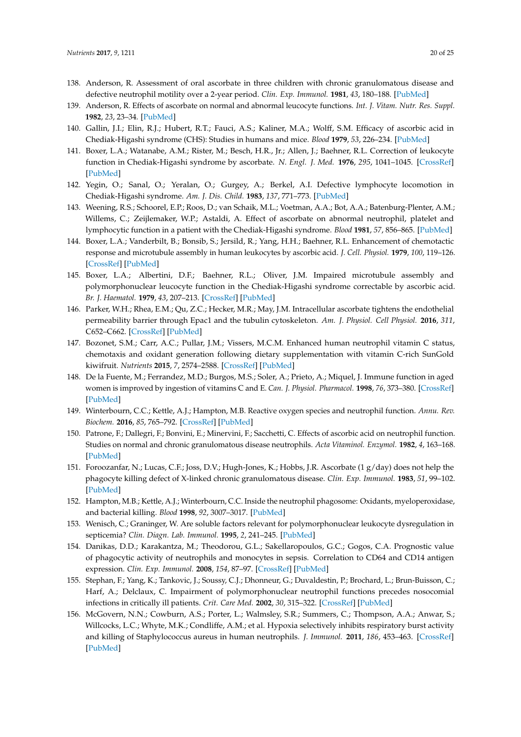- <span id="page-19-1"></span>138. Anderson, R. Assessment of oral ascorbate in three children with chronic granulomatous disease and defective neutrophil motility over a 2-year period. *Clin. Exp. Immunol.* **1981**, *43*, 180–188. [\[PubMed\]](http://www.ncbi.nlm.nih.gov/pubmed/6265123)
- <span id="page-19-0"></span>139. Anderson, R. Effects of ascorbate on normal and abnormal leucocyte functions. *Int. J. Vitam. Nutr. Res. Suppl.* **1982**, *23*, 23–34. [\[PubMed\]](http://www.ncbi.nlm.nih.gov/pubmed/6811483)
- <span id="page-19-2"></span>140. Gallin, J.I.; Elin, R.J.; Hubert, R.T.; Fauci, A.S.; Kaliner, M.A.; Wolff, S.M. Efficacy of ascorbic acid in Chediak-Higashi syndrome (CHS): Studies in humans and mice. *Blood* **1979**, *53*, 226–234. [\[PubMed\]](http://www.ncbi.nlm.nih.gov/pubmed/216437)
- <span id="page-19-3"></span>141. Boxer, L.A.; Watanabe, A.M.; Rister, M.; Besch, H.R., Jr.; Allen, J.; Baehner, R.L. Correction of leukocyte function in Chediak-Higashi syndrome by ascorbate. *N. Engl. J. Med.* **1976**, *295*, 1041–1045. [\[CrossRef\]](http://dx.doi.org/10.1056/NEJM197611042951904) [\[PubMed\]](http://www.ncbi.nlm.nih.gov/pubmed/184391)
- <span id="page-19-4"></span>142. Yegin, O.; Sanal, O.; Yeralan, O.; Gurgey, A.; Berkel, A.I. Defective lymphocyte locomotion in Chediak-Higashi syndrome. *Am. J. Dis. Child.* **1983**, *137*, 771–773. [\[PubMed\]](http://www.ncbi.nlm.nih.gov/pubmed/6869338)
- <span id="page-19-5"></span>143. Weening, R.S.; Schoorel, E.P.; Roos, D.; van Schaik, M.L.; Voetman, A.A.; Bot, A.A.; Batenburg-Plenter, A.M.; Willems, C.; Zeijlemaker, W.P.; Astaldi, A. Effect of ascorbate on abnormal neutrophil, platelet and lymphocytic function in a patient with the Chediak-Higashi syndrome. *Blood* **1981**, *57*, 856–865. [\[PubMed\]](http://www.ncbi.nlm.nih.gov/pubmed/6260267)
- <span id="page-19-6"></span>144. Boxer, L.A.; Vanderbilt, B.; Bonsib, S.; Jersild, R.; Yang, H.H.; Baehner, R.L. Enhancement of chemotactic response and microtubule assembly in human leukocytes by ascorbic acid. *J. Cell. Physiol.* **1979**, *100*, 119–126. [\[CrossRef\]](http://dx.doi.org/10.1002/jcp.1041000112) [\[PubMed\]](http://www.ncbi.nlm.nih.gov/pubmed/468916)
- <span id="page-19-7"></span>145. Boxer, L.A.; Albertini, D.F.; Baehner, R.L.; Oliver, J.M. Impaired microtubule assembly and polymorphonuclear leucocyte function in the Chediak-Higashi syndrome correctable by ascorbic acid. *Br. J. Haematol.* **1979**, *43*, 207–213. [\[CrossRef\]](http://dx.doi.org/10.1111/j.1365-2141.1979.tb03743.x) [\[PubMed\]](http://www.ncbi.nlm.nih.gov/pubmed/508630)
- <span id="page-19-8"></span>146. Parker, W.H.; Rhea, E.M.; Qu, Z.C.; Hecker, M.R.; May, J.M. Intracellular ascorbate tightens the endothelial permeability barrier through Epac1 and the tubulin cytoskeleton. *Am. J. Physiol. Cell Physiol.* **2016**, *311*, C652–C662. [\[CrossRef\]](http://dx.doi.org/10.1152/ajpcell.00076.2016) [\[PubMed\]](http://www.ncbi.nlm.nih.gov/pubmed/27605450)
- <span id="page-19-9"></span>147. Bozonet, S.M.; Carr, A.C.; Pullar, J.M.; Vissers, M.C.M. Enhanced human neutrophil vitamin C status, chemotaxis and oxidant generation following dietary supplementation with vitamin C-rich SunGold kiwifruit. *Nutrients* **2015**, *7*, 2574–2588. [\[CrossRef\]](http://dx.doi.org/10.3390/nu7042574) [\[PubMed\]](http://www.ncbi.nlm.nih.gov/pubmed/25912037)
- <span id="page-19-10"></span>148. De la Fuente, M.; Ferrandez, M.D.; Burgos, M.S.; Soler, A.; Prieto, A.; Miquel, J. Immune function in aged women is improved by ingestion of vitamins C and E. *Can. J. Physiol. Pharmacol.* **1998**, *76*, 373–380. [\[CrossRef\]](http://dx.doi.org/10.1139/y98-038) [\[PubMed\]](http://www.ncbi.nlm.nih.gov/pubmed/9795745)
- <span id="page-19-11"></span>149. Winterbourn, C.C.; Kettle, A.J.; Hampton, M.B. Reactive oxygen species and neutrophil function. *Annu. Rev. Biochem.* **2016**, *85*, 765–792. [\[CrossRef\]](http://dx.doi.org/10.1146/annurev-biochem-060815-014442) [\[PubMed\]](http://www.ncbi.nlm.nih.gov/pubmed/27050287)
- <span id="page-19-12"></span>150. Patrone, F.; Dallegri, F.; Bonvini, E.; Minervini, F.; Sacchetti, C. Effects of ascorbic acid on neutrophil function. Studies on normal and chronic granulomatous disease neutrophils. *Acta Vitaminol. Enzymol.* **1982**, *4*, 163–168. [\[PubMed\]](http://www.ncbi.nlm.nih.gov/pubmed/7124564)
- <span id="page-19-13"></span>151. Foroozanfar, N.; Lucas, C.F.; Joss, D.V.; Hugh-Jones, K.; Hobbs, J.R. Ascorbate (1 g/day) does not help the phagocyte killing defect of X-linked chronic granulomatous disease. *Clin. Exp. Immunol.* **1983**, *51*, 99–102. [\[PubMed\]](http://www.ncbi.nlm.nih.gov/pubmed/6339127)
- <span id="page-19-14"></span>152. Hampton, M.B.; Kettle, A.J.; Winterbourn, C.C. Inside the neutrophil phagosome: Oxidants, myeloperoxidase, and bacterial killing. *Blood* **1998**, *92*, 3007–3017. [\[PubMed\]](http://www.ncbi.nlm.nih.gov/pubmed/9787133)
- <span id="page-19-15"></span>153. Wenisch, C.; Graninger, W. Are soluble factors relevant for polymorphonuclear leukocyte dysregulation in septicemia? *Clin. Diagn. Lab. Immunol.* **1995**, *2*, 241–245. [\[PubMed\]](http://www.ncbi.nlm.nih.gov/pubmed/7697538)
- <span id="page-19-16"></span>154. Danikas, D.D.; Karakantza, M.; Theodorou, G.L.; Sakellaropoulos, G.C.; Gogos, C.A. Prognostic value of phagocytic activity of neutrophils and monocytes in sepsis. Correlation to CD64 and CD14 antigen expression. *Clin. Exp. Immunol.* **2008**, *154*, 87–97. [\[CrossRef\]](http://dx.doi.org/10.1111/j.1365-2249.2008.03737.x) [\[PubMed\]](http://www.ncbi.nlm.nih.gov/pubmed/18727624)
- <span id="page-19-17"></span>155. Stephan, F.; Yang, K.; Tankovic, J.; Soussy, C.J.; Dhonneur, G.; Duvaldestin, P.; Brochard, L.; Brun-Buisson, C.; Harf, A.; Delclaux, C. Impairment of polymorphonuclear neutrophil functions precedes nosocomial infections in critically ill patients. *Crit. Care Med.* **2002**, *30*, 315–322. [\[CrossRef\]](http://dx.doi.org/10.1097/00003246-200202000-00009) [\[PubMed\]](http://www.ncbi.nlm.nih.gov/pubmed/11889301)
- <span id="page-19-18"></span>156. McGovern, N.N.; Cowburn, A.S.; Porter, L.; Walmsley, S.R.; Summers, C.; Thompson, A.A.; Anwar, S.; Willcocks, L.C.; Whyte, M.K.; Condliffe, A.M.; et al. Hypoxia selectively inhibits respiratory burst activity and killing of Staphylococcus aureus in human neutrophils. *J. Immunol.* **2011**, *186*, 453–463. [\[CrossRef\]](http://dx.doi.org/10.4049/jimmunol.1002213) [\[PubMed\]](http://www.ncbi.nlm.nih.gov/pubmed/21135168)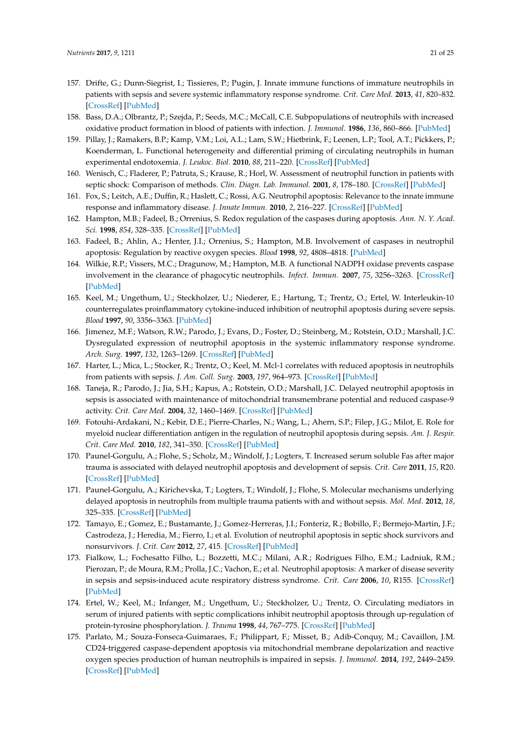- <span id="page-20-0"></span>157. Drifte, G.; Dunn-Siegrist, I.; Tissieres, P.; Pugin, J. Innate immune functions of immature neutrophils in patients with sepsis and severe systemic inflammatory response syndrome. *Crit. Care Med.* **2013**, *41*, 820–832. [\[CrossRef\]](http://dx.doi.org/10.1097/CCM.0b013e318274647d) [\[PubMed\]](http://www.ncbi.nlm.nih.gov/pubmed/23348516)
- <span id="page-20-1"></span>158. Bass, D.A.; Olbrantz, P.; Szejda, P.; Seeds, M.C.; McCall, C.E. Subpopulations of neutrophils with increased oxidative product formation in blood of patients with infection. *J. Immunol.* **1986**, *136*, 860–866. [\[PubMed\]](http://www.ncbi.nlm.nih.gov/pubmed/3001188)
- <span id="page-20-2"></span>159. Pillay, J.; Ramakers, B.P.; Kamp, V.M.; Loi, A.L.; Lam, S.W.; Hietbrink, F.; Leenen, L.P.; Tool, A.T.; Pickkers, P.; Koenderman, L. Functional heterogeneity and differential priming of circulating neutrophils in human experimental endotoxemia. *J. Leukoc. Biol.* **2010**, *88*, 211–220. [\[CrossRef\]](http://dx.doi.org/10.1189/jlb.1209793) [\[PubMed\]](http://www.ncbi.nlm.nih.gov/pubmed/20400675)
- <span id="page-20-3"></span>160. Wenisch, C.; Fladerer, P.; Patruta, S.; Krause, R.; Horl, W. Assessment of neutrophil function in patients with septic shock: Comparison of methods. *Clin. Diagn. Lab. Immunol.* **2001**, *8*, 178–180. [\[CrossRef\]](http://dx.doi.org/10.1128/CDLI.8.1.178-180.2001) [\[PubMed\]](http://www.ncbi.nlm.nih.gov/pubmed/11139215)
- <span id="page-20-4"></span>161. Fox, S.; Leitch, A.E.; Duffin, R.; Haslett, C.; Rossi, A.G. Neutrophil apoptosis: Relevance to the innate immune response and inflammatory disease. *J. Innate Immun.* **2010**, *2*, 216–227. [\[CrossRef\]](http://dx.doi.org/10.1159/000284367) [\[PubMed\]](http://www.ncbi.nlm.nih.gov/pubmed/20375550)
- <span id="page-20-5"></span>162. Hampton, M.B.; Fadeel, B.; Orrenius, S. Redox regulation of the caspases during apoptosis. *Ann. N. Y. Acad. Sci.* **1998**, *854*, 328–335. [\[CrossRef\]](http://dx.doi.org/10.1111/j.1749-6632.1998.tb09913.x) [\[PubMed\]](http://www.ncbi.nlm.nih.gov/pubmed/9928441)
- <span id="page-20-6"></span>163. Fadeel, B.; Ahlin, A.; Henter, J.I.; Orrenius, S.; Hampton, M.B. Involvement of caspases in neutrophil apoptosis: Regulation by reactive oxygen species. *Blood* **1998**, *92*, 4808–4818. [\[PubMed\]](http://www.ncbi.nlm.nih.gov/pubmed/9845548)
- <span id="page-20-7"></span>164. Wilkie, R.P.; Vissers, M.C.; Dragunow, M.; Hampton, M.B. A functional NADPH oxidase prevents caspase involvement in the clearance of phagocytic neutrophils. *Infect. Immun.* **2007**, *75*, 3256–3263. [\[CrossRef\]](http://dx.doi.org/10.1128/IAI.01984-06) [\[PubMed\]](http://www.ncbi.nlm.nih.gov/pubmed/17438039)
- <span id="page-20-8"></span>165. Keel, M.; Ungethum, U.; Steckholzer, U.; Niederer, E.; Hartung, T.; Trentz, O.; Ertel, W. Interleukin-10 counterregulates proinflammatory cytokine-induced inhibition of neutrophil apoptosis during severe sepsis. *Blood* **1997**, *90*, 3356–3363. [\[PubMed\]](http://www.ncbi.nlm.nih.gov/pubmed/9345017)
- 166. Jimenez, M.F.; Watson, R.W.; Parodo, J.; Evans, D.; Foster, D.; Steinberg, M.; Rotstein, O.D.; Marshall, J.C. Dysregulated expression of neutrophil apoptosis in the systemic inflammatory response syndrome. *Arch. Surg.* **1997**, *132*, 1263–1269. [\[CrossRef\]](http://dx.doi.org/10.1001/archsurg.1997.01430360009002) [\[PubMed\]](http://www.ncbi.nlm.nih.gov/pubmed/9403528)
- 167. Harter, L.; Mica, L.; Stocker, R.; Trentz, O.; Keel, M. Mcl-1 correlates with reduced apoptosis in neutrophils from patients with sepsis. *J. Am. Coll. Surg.* **2003**, *197*, 964–973. [\[CrossRef\]](http://dx.doi.org/10.1016/j.jamcollsurg.2003.07.008) [\[PubMed\]](http://www.ncbi.nlm.nih.gov/pubmed/14644285)
- 168. Taneja, R.; Parodo, J.; Jia, S.H.; Kapus, A.; Rotstein, O.D.; Marshall, J.C. Delayed neutrophil apoptosis in sepsis is associated with maintenance of mitochondrial transmembrane potential and reduced caspase-9 activity. *Crit. Care Med.* **2004**, *32*, 1460–1469. [\[CrossRef\]](http://dx.doi.org/10.1097/01.CCM.0000129975.26905.77) [\[PubMed\]](http://www.ncbi.nlm.nih.gov/pubmed/15241089)
- 169. Fotouhi-Ardakani, N.; Kebir, D.E.; Pierre-Charles, N.; Wang, L.; Ahern, S.P.; Filep, J.G.; Milot, E. Role for myeloid nuclear differentiation antigen in the regulation of neutrophil apoptosis during sepsis. *Am. J. Respir. Crit. Care Med.* **2010**, *182*, 341–350. [\[CrossRef\]](http://dx.doi.org/10.1164/rccm.201001-0075OC) [\[PubMed\]](http://www.ncbi.nlm.nih.gov/pubmed/20395555)
- 170. Paunel-Gorgulu, A.; Flohe, S.; Scholz, M.; Windolf, J.; Logters, T. Increased serum soluble Fas after major trauma is associated with delayed neutrophil apoptosis and development of sepsis. *Crit. Care* **2011**, *15*, R20. [\[CrossRef\]](http://dx.doi.org/10.1186/cc9965) [\[PubMed\]](http://www.ncbi.nlm.nih.gov/pubmed/21232130)
- 171. Paunel-Gorgulu, A.; Kirichevska, T.; Logters, T.; Windolf, J.; Flohe, S. Molecular mechanisms underlying delayed apoptosis in neutrophils from multiple trauma patients with and without sepsis. *Mol. Med.* **2012**, *18*, 325–335. [\[CrossRef\]](http://dx.doi.org/10.2119/molmed.2011.00380) [\[PubMed\]](http://www.ncbi.nlm.nih.gov/pubmed/22231730)
- <span id="page-20-9"></span>172. Tamayo, E.; Gomez, E.; Bustamante, J.; Gomez-Herreras, J.I.; Fonteriz, R.; Bobillo, F.; Bermejo-Martin, J.F.; Castrodeza, J.; Heredia, M.; Fierro, I.; et al. Evolution of neutrophil apoptosis in septic shock survivors and nonsurvivors. *J. Crit. Care* **2012**, *27*, 415. [\[CrossRef\]](http://dx.doi.org/10.1016/j.jcrc.2011.09.001) [\[PubMed\]](http://www.ncbi.nlm.nih.gov/pubmed/22079179)
- <span id="page-20-10"></span>173. Fialkow, L.; Fochesatto Filho, L.; Bozzetti, M.C.; Milani, A.R.; Rodrigues Filho, E.M.; Ladniuk, R.M.; Pierozan, P.; de Moura, R.M.; Prolla, J.C.; Vachon, E.; et al. Neutrophil apoptosis: A marker of disease severity in sepsis and sepsis-induced acute respiratory distress syndrome. *Crit. Care* **2006**, *10*, R155. [\[CrossRef\]](http://dx.doi.org/10.1186/cc5090) [\[PubMed\]](http://www.ncbi.nlm.nih.gov/pubmed/17092345)
- <span id="page-20-11"></span>174. Ertel, W.; Keel, M.; Infanger, M.; Ungethum, U.; Steckholzer, U.; Trentz, O. Circulating mediators in serum of injured patients with septic complications inhibit neutrophil apoptosis through up-regulation of protein-tyrosine phosphorylation. *J. Trauma* **1998**, *44*, 767–775. [\[CrossRef\]](http://dx.doi.org/10.1097/00005373-199805000-00005) [\[PubMed\]](http://www.ncbi.nlm.nih.gov/pubmed/9603076)
- 175. Parlato, M.; Souza-Fonseca-Guimaraes, F.; Philippart, F.; Misset, B.; Adib-Conquy, M.; Cavaillon, J.M. CD24-triggered caspase-dependent apoptosis via mitochondrial membrane depolarization and reactive oxygen species production of human neutrophils is impaired in sepsis. *J. Immunol.* **2014**, *192*, 2449–2459. [\[CrossRef\]](http://dx.doi.org/10.4049/jimmunol.1301055) [\[PubMed\]](http://www.ncbi.nlm.nih.gov/pubmed/24501201)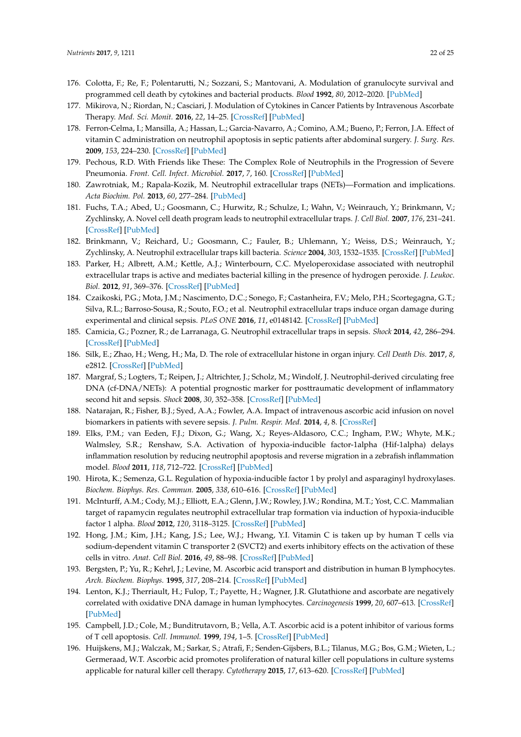- <span id="page-21-0"></span>176. Colotta, F.; Re, F.; Polentarutti, N.; Sozzani, S.; Mantovani, A. Modulation of granulocyte survival and programmed cell death by cytokines and bacterial products. *Blood* **1992**, *80*, 2012–2020. [\[PubMed\]](http://www.ncbi.nlm.nih.gov/pubmed/1382715)
- <span id="page-21-1"></span>177. Mikirova, N.; Riordan, N.; Casciari, J. Modulation of Cytokines in Cancer Patients by Intravenous Ascorbate Therapy. *Med. Sci. Monit.* **2016**, *22*, 14–25. [\[CrossRef\]](http://dx.doi.org/10.12659/MSM.895368) [\[PubMed\]](http://www.ncbi.nlm.nih.gov/pubmed/26724916)
- <span id="page-21-2"></span>178. Ferron-Celma, I.; Mansilla, A.; Hassan, L.; Garcia-Navarro, A.; Comino, A.M.; Bueno, P.; Ferron, J.A. Effect of vitamin C administration on neutrophil apoptosis in septic patients after abdominal surgery. *J. Surg. Res.* **2009**, *153*, 224–230. [\[CrossRef\]](http://dx.doi.org/10.1016/j.jss.2008.04.024) [\[PubMed\]](http://www.ncbi.nlm.nih.gov/pubmed/18952228)
- <span id="page-21-3"></span>179. Pechous, R.D. With Friends like These: The Complex Role of Neutrophils in the Progression of Severe Pneumonia. *Front. Cell. Infect. Microbiol.* **2017**, *7*, 160. [\[CrossRef\]](http://dx.doi.org/10.3389/fcimb.2017.00160) [\[PubMed\]](http://www.ncbi.nlm.nih.gov/pubmed/28507954)
- <span id="page-21-4"></span>180. Zawrotniak, M.; Rapala-Kozik, M. Neutrophil extracellular traps (NETs)—Formation and implications. *Acta Biochim. Pol.* **2013**, *60*, 277–284. [\[PubMed\]](http://www.ncbi.nlm.nih.gov/pubmed/23819131)
- <span id="page-21-5"></span>181. Fuchs, T.A.; Abed, U.; Goosmann, C.; Hurwitz, R.; Schulze, I.; Wahn, V.; Weinrauch, Y.; Brinkmann, V.; Zychlinsky, A. Novel cell death program leads to neutrophil extracellular traps. *J. Cell Biol.* **2007**, *176*, 231–241. [\[CrossRef\]](http://dx.doi.org/10.1083/jcb.200606027) [\[PubMed\]](http://www.ncbi.nlm.nih.gov/pubmed/17210947)
- <span id="page-21-6"></span>182. Brinkmann, V.; Reichard, U.; Goosmann, C.; Fauler, B.; Uhlemann, Y.; Weiss, D.S.; Weinrauch, Y.; Zychlinsky, A. Neutrophil extracellular traps kill bacteria. *Science* **2004**, *303*, 1532–1535. [\[CrossRef\]](http://dx.doi.org/10.1126/science.1092385) [\[PubMed\]](http://www.ncbi.nlm.nih.gov/pubmed/15001782)
- <span id="page-21-7"></span>183. Parker, H.; Albrett, A.M.; Kettle, A.J.; Winterbourn, C.C. Myeloperoxidase associated with neutrophil extracellular traps is active and mediates bacterial killing in the presence of hydrogen peroxide. *J. Leukoc. Biol.* **2012**, *91*, 369–376. [\[CrossRef\]](http://dx.doi.org/10.1189/jlb.0711387) [\[PubMed\]](http://www.ncbi.nlm.nih.gov/pubmed/22131345)
- <span id="page-21-8"></span>184. Czaikoski, P.G.; Mota, J.M.; Nascimento, D.C.; Sonego, F.; Castanheira, F.V.; Melo, P.H.; Scortegagna, G.T.; Silva, R.L.; Barroso-Sousa, R.; Souto, F.O.; et al. Neutrophil extracellular traps induce organ damage during experimental and clinical sepsis. *PLoS ONE* **2016**, *11*, e0148142. [\[CrossRef\]](http://dx.doi.org/10.1371/journal.pone.0148142) [\[PubMed\]](http://www.ncbi.nlm.nih.gov/pubmed/26849138)
- <span id="page-21-9"></span>185. Camicia, G.; Pozner, R.; de Larranaga, G. Neutrophil extracellular traps in sepsis. *Shock* **2014**, *42*, 286–294. [\[CrossRef\]](http://dx.doi.org/10.1097/SHK.0000000000000221) [\[PubMed\]](http://www.ncbi.nlm.nih.gov/pubmed/25004062)
- <span id="page-21-10"></span>186. Silk, E.; Zhao, H.; Weng, H.; Ma, D. The role of extracellular histone in organ injury. *Cell Death Dis.* **2017**, *8*, e2812. [\[CrossRef\]](http://dx.doi.org/10.1038/cddis.2017.52) [\[PubMed\]](http://www.ncbi.nlm.nih.gov/pubmed/28542146)
- <span id="page-21-11"></span>187. Margraf, S.; Logters, T.; Reipen, J.; Altrichter, J.; Scholz, M.; Windolf, J. Neutrophil-derived circulating free DNA (cf-DNA/NETs): A potential prognostic marker for posttraumatic development of inflammatory second hit and sepsis. *Shock* **2008**, *30*, 352–358. [\[CrossRef\]](http://dx.doi.org/10.1097/SHK.0b013e31816a6bb1) [\[PubMed\]](http://www.ncbi.nlm.nih.gov/pubmed/18317404)
- <span id="page-21-12"></span>188. Natarajan, R.; Fisher, B.J.; Syed, A.A.; Fowler, A.A. Impact of intravenous ascorbic acid infusion on novel biomarkers in patients with severe sepsis. *J. Pulm. Respir. Med.* **2014**, *4*, 8. [\[CrossRef\]](http://dx.doi.org/10.4172/2161-105X.1000214)
- <span id="page-21-13"></span>189. Elks, P.M.; van Eeden, F.J.; Dixon, G.; Wang, X.; Reyes-Aldasoro, C.C.; Ingham, P.W.; Whyte, M.K.; Walmsley, S.R.; Renshaw, S.A. Activation of hypoxia-inducible factor-1alpha (Hif-1alpha) delays inflammation resolution by reducing neutrophil apoptosis and reverse migration in a zebrafish inflammation model. *Blood* **2011**, *118*, 712–722. [\[CrossRef\]](http://dx.doi.org/10.1182/blood-2010-12-324186) [\[PubMed\]](http://www.ncbi.nlm.nih.gov/pubmed/21555741)
- <span id="page-21-14"></span>190. Hirota, K.; Semenza, G.L. Regulation of hypoxia-inducible factor 1 by prolyl and asparaginyl hydroxylases. *Biochem. Biophys. Res. Commun.* **2005**, *338*, 610–616. [\[CrossRef\]](http://dx.doi.org/10.1016/j.bbrc.2005.08.193) [\[PubMed\]](http://www.ncbi.nlm.nih.gov/pubmed/16154531)
- <span id="page-21-15"></span>191. McInturff, A.M.; Cody, M.J.; Elliott, E.A.; Glenn, J.W.; Rowley, J.W.; Rondina, M.T.; Yost, C.C. Mammalian target of rapamycin regulates neutrophil extracellular trap formation via induction of hypoxia-inducible factor 1 alpha. *Blood* **2012**, *120*, 3118–3125. [\[CrossRef\]](http://dx.doi.org/10.1182/blood-2012-01-405993) [\[PubMed\]](http://www.ncbi.nlm.nih.gov/pubmed/22919032)
- <span id="page-21-16"></span>192. Hong, J.M.; Kim, J.H.; Kang, J.S.; Lee, W.J.; Hwang, Y.I. Vitamin C is taken up by human T cells via sodium-dependent vitamin C transporter 2 (SVCT2) and exerts inhibitory effects on the activation of these cells in vitro. *Anat. Cell Biol.* **2016**, *49*, 88–98. [\[CrossRef\]](http://dx.doi.org/10.5115/acb.2016.49.2.88) [\[PubMed\]](http://www.ncbi.nlm.nih.gov/pubmed/27382510)
- <span id="page-21-17"></span>193. Bergsten, P.; Yu, R.; Kehrl, J.; Levine, M. Ascorbic acid transport and distribution in human B lymphocytes. *Arch. Biochem. Biophys.* **1995**, *317*, 208–214. [\[CrossRef\]](http://dx.doi.org/10.1006/abbi.1995.1155) [\[PubMed\]](http://www.ncbi.nlm.nih.gov/pubmed/7872786)
- <span id="page-21-18"></span>194. Lenton, K.J.; Therriault, H.; Fulop, T.; Payette, H.; Wagner, J.R. Glutathione and ascorbate are negatively correlated with oxidative DNA damage in human lymphocytes. *Carcinogenesis* **1999**, *20*, 607–613. [\[CrossRef\]](http://dx.doi.org/10.1093/carcin/20.4.607) [\[PubMed\]](http://www.ncbi.nlm.nih.gov/pubmed/10223188)
- <span id="page-21-19"></span>195. Campbell, J.D.; Cole, M.; Bunditrutavorn, B.; Vella, A.T. Ascorbic acid is a potent inhibitor of various forms of T cell apoptosis. *Cell. Immunol.* **1999**, *194*, 1–5. [\[CrossRef\]](http://dx.doi.org/10.1006/cimm.1999.1485) [\[PubMed\]](http://www.ncbi.nlm.nih.gov/pubmed/10357874)
- <span id="page-21-20"></span>196. Huijskens, M.J.; Walczak, M.; Sarkar, S.; Atrafi, F.; Senden-Gijsbers, B.L.; Tilanus, M.G.; Bos, G.M.; Wieten, L.; Germeraad, W.T. Ascorbic acid promotes proliferation of natural killer cell populations in culture systems applicable for natural killer cell therapy. *Cytotherapy* **2015**, *17*, 613–620. [\[CrossRef\]](http://dx.doi.org/10.1016/j.jcyt.2015.01.004) [\[PubMed\]](http://www.ncbi.nlm.nih.gov/pubmed/25747742)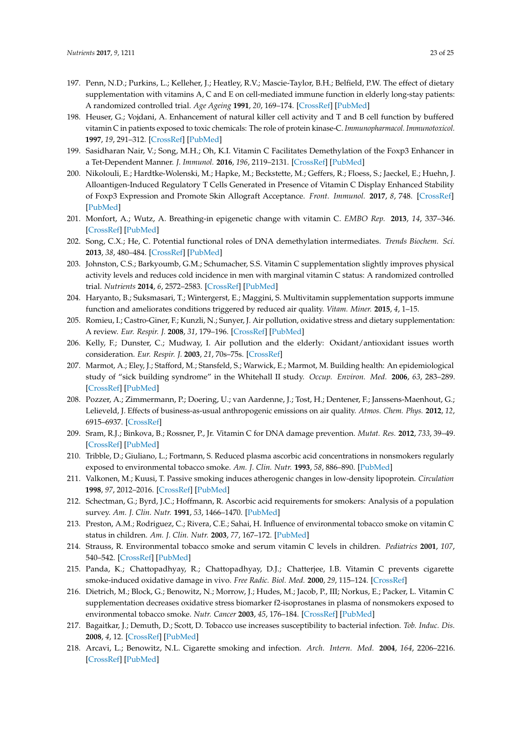- <span id="page-22-0"></span>197. Penn, N.D.; Purkins, L.; Kelleher, J.; Heatley, R.V.; Mascie-Taylor, B.H.; Belfield, P.W. The effect of dietary supplementation with vitamins A, C and E on cell-mediated immune function in elderly long-stay patients: A randomized controlled trial. *Age Ageing* **1991**, *20*, 169–174. [\[CrossRef\]](http://dx.doi.org/10.1093/ageing/20.3.169) [\[PubMed\]](http://www.ncbi.nlm.nih.gov/pubmed/1853789)
- <span id="page-22-1"></span>198. Heuser, G.; Vojdani, A. Enhancement of natural killer cell activity and T and B cell function by buffered vitamin C in patients exposed to toxic chemicals: The role of protein kinase-C. *Immunopharmacol. Immunotoxicol.* **1997**, *19*, 291–312. [\[CrossRef\]](http://dx.doi.org/10.3109/08923979709046977) [\[PubMed\]](http://www.ncbi.nlm.nih.gov/pubmed/9248859)
- <span id="page-22-2"></span>199. Sasidharan Nair, V.; Song, M.H.; Oh, K.I. Vitamin C Facilitates Demethylation of the Foxp3 Enhancer in a Tet-Dependent Manner. *J. Immunol.* **2016**, *196*, 2119–2131. [\[CrossRef\]](http://dx.doi.org/10.4049/jimmunol.1502352) [\[PubMed\]](http://www.ncbi.nlm.nih.gov/pubmed/26826239)
- <span id="page-22-3"></span>200. Nikolouli, E.; Hardtke-Wolenski, M.; Hapke, M.; Beckstette, M.; Geffers, R.; Floess, S.; Jaeckel, E.; Huehn, J. Alloantigen-Induced Regulatory T Cells Generated in Presence of Vitamin C Display Enhanced Stability of Foxp3 Expression and Promote Skin Allograft Acceptance. *Front. Immunol.* **2017**, *8*, 748. [\[CrossRef\]](http://dx.doi.org/10.3389/fimmu.2017.00748) [\[PubMed\]](http://www.ncbi.nlm.nih.gov/pubmed/28702031)
- <span id="page-22-4"></span>201. Monfort, A.; Wutz, A. Breathing-in epigenetic change with vitamin C. *EMBO Rep.* **2013**, *14*, 337–346. [\[CrossRef\]](http://dx.doi.org/10.1038/embor.2013.29) [\[PubMed\]](http://www.ncbi.nlm.nih.gov/pubmed/23492828)
- <span id="page-22-5"></span>202. Song, C.X.; He, C. Potential functional roles of DNA demethylation intermediates. *Trends Biochem. Sci.* **2013**, *38*, 480–484. [\[CrossRef\]](http://dx.doi.org/10.1016/j.tibs.2013.07.003) [\[PubMed\]](http://www.ncbi.nlm.nih.gov/pubmed/23932479)
- <span id="page-22-6"></span>203. Johnston, C.S.; Barkyoumb, G.M.; Schumacher, S.S. Vitamin C supplementation slightly improves physical activity levels and reduces cold incidence in men with marginal vitamin C status: A randomized controlled trial. *Nutrients* **2014**, *6*, 2572–2583. [\[CrossRef\]](http://dx.doi.org/10.3390/nu6072572) [\[PubMed\]](http://www.ncbi.nlm.nih.gov/pubmed/25010554)
- <span id="page-22-7"></span>204. Haryanto, B.; Suksmasari, T.; Wintergerst, E.; Maggini, S. Multivitamin supplementation supports immune function and ameliorates conditions triggered by reduced air quality. *Vitam. Miner.* **2015**, *4*, 1–15.
- <span id="page-22-8"></span>205. Romieu, I.; Castro-Giner, F.; Kunzli, N.; Sunyer, J. Air pollution, oxidative stress and dietary supplementation: A review. *Eur. Respir. J.* **2008**, *31*, 179–196. [\[CrossRef\]](http://dx.doi.org/10.1183/09031936.00128106) [\[PubMed\]](http://www.ncbi.nlm.nih.gov/pubmed/18166596)
- <span id="page-22-9"></span>206. Kelly, F.; Dunster, C.; Mudway, I. Air pollution and the elderly: Oxidant/antioxidant issues worth consideration. *Eur. Respir. J.* **2003**, *21*, 70s–75s. [\[CrossRef\]](http://dx.doi.org/10.1183/09031936.03.00402903)
- <span id="page-22-10"></span>207. Marmot, A.; Eley, J.; Stafford, M.; Stansfeld, S.; Warwick, E.; Marmot, M. Building health: An epidemiological study of "sick building syndrome" in the Whitehall II study. *Occup. Environ. Med.* **2006**, *63*, 283–289. [\[CrossRef\]](http://dx.doi.org/10.1136/oem.2005.022889) [\[PubMed\]](http://www.ncbi.nlm.nih.gov/pubmed/16556750)
- <span id="page-22-11"></span>208. Pozzer, A.; Zimmermann, P.; Doering, U.; van Aardenne, J.; Tost, H.; Dentener, F.; Janssens-Maenhout, G.; Lelieveld, J. Effects of business-as-usual anthropogenic emissions on air quality. *Atmos. Chem. Phys.* **2012**, *12*, 6915–6937. [\[CrossRef\]](http://dx.doi.org/10.5194/acp-12-6915-2012)
- <span id="page-22-12"></span>209. Sram, R.J.; Binkova, B.; Rossner, P., Jr. Vitamin C for DNA damage prevention. *Mutat. Res.* **2012**, *733*, 39–49. [\[CrossRef\]](http://dx.doi.org/10.1016/j.mrfmmm.2011.12.001) [\[PubMed\]](http://www.ncbi.nlm.nih.gov/pubmed/22178550)
- <span id="page-22-13"></span>210. Tribble, D.; Giuliano, L.; Fortmann, S. Reduced plasma ascorbic acid concentrations in nonsmokers regularly exposed to environmental tobacco smoke. *Am. J. Clin. Nutr.* **1993**, *58*, 886–890. [\[PubMed\]](http://www.ncbi.nlm.nih.gov/pubmed/8249873)
- <span id="page-22-14"></span>211. Valkonen, M.; Kuusi, T. Passive smoking induces atherogenic changes in low-density lipoprotein. *Circulation* **1998**, *97*, 2012–2016. [\[CrossRef\]](http://dx.doi.org/10.1161/01.CIR.97.20.2012) [\[PubMed\]](http://www.ncbi.nlm.nih.gov/pubmed/9610530)
- 212. Schectman, G.; Byrd, J.C.; Hoffmann, R. Ascorbic acid requirements for smokers: Analysis of a population survey. *Am. J. Clin. Nutr.* **1991**, *53*, 1466–1470. [\[PubMed\]](http://www.ncbi.nlm.nih.gov/pubmed/2035475)
- <span id="page-22-15"></span>213. Preston, A.M.; Rodriguez, C.; Rivera, C.E.; Sahai, H. Influence of environmental tobacco smoke on vitamin C status in children. *Am. J. Clin. Nutr.* **2003**, *77*, 167–172. [\[PubMed\]](http://www.ncbi.nlm.nih.gov/pubmed/12499337)
- <span id="page-22-16"></span>214. Strauss, R. Environmental tobacco smoke and serum vitamin C levels in children. *Pediatrics* **2001**, *107*, 540–542. [\[CrossRef\]](http://dx.doi.org/10.1542/peds.107.3.540) [\[PubMed\]](http://www.ncbi.nlm.nih.gov/pubmed/11230596)
- <span id="page-22-17"></span>215. Panda, K.; Chattopadhyay, R.; Chattopadhyay, D.J.; Chatterjee, I.B. Vitamin C prevents cigarette smoke-induced oxidative damage in vivo. *Free Radic. Biol. Med.* **2000**, *29*, 115–124. [\[CrossRef\]](http://dx.doi.org/10.1016/S0891-5849(00)00297-5)
- <span id="page-22-18"></span>216. Dietrich, M.; Block, G.; Benowitz, N.; Morrow, J.; Hudes, M.; Jacob, P., III; Norkus, E.; Packer, L. Vitamin C supplementation decreases oxidative stress biomarker f2-isoprostanes in plasma of nonsmokers exposed to environmental tobacco smoke. *Nutr. Cancer* **2003**, *45*, 176–184. [\[CrossRef\]](http://dx.doi.org/10.1207/S15327914NC4502_06) [\[PubMed\]](http://www.ncbi.nlm.nih.gov/pubmed/12881011)
- <span id="page-22-19"></span>217. Bagaitkar, J.; Demuth, D.; Scott, D. Tobacco use increases susceptibility to bacterial infection. *Tob. Induc. Dis.* **2008**, *4*, 12. [\[CrossRef\]](http://dx.doi.org/10.1186/1617-9625-4-12) [\[PubMed\]](http://www.ncbi.nlm.nih.gov/pubmed/19094204)
- <span id="page-22-20"></span>218. Arcavi, L.; Benowitz, N.L. Cigarette smoking and infection. *Arch. Intern. Med.* **2004**, *164*, 2206–2216. [\[CrossRef\]](http://dx.doi.org/10.1001/archinte.164.20.2206) [\[PubMed\]](http://www.ncbi.nlm.nih.gov/pubmed/15534156)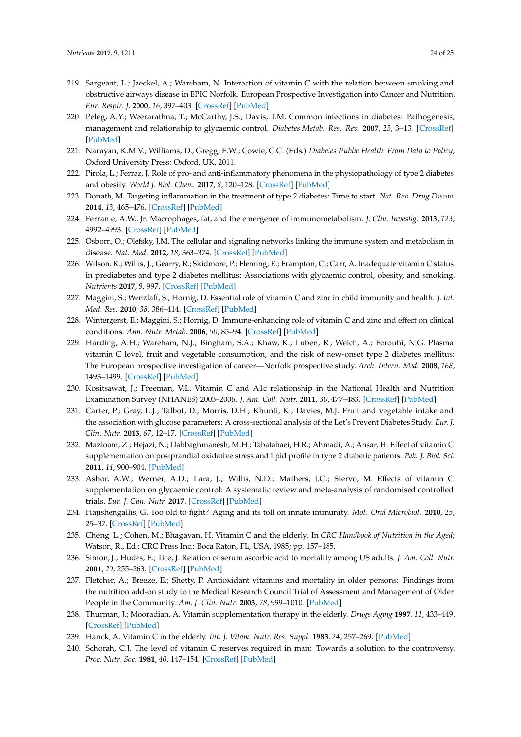- <span id="page-23-0"></span>219. Sargeant, L.; Jaeckel, A.; Wareham, N. Interaction of vitamin C with the relation between smoking and obstructive airways disease in EPIC Norfolk. European Prospective Investigation into Cancer and Nutrition. *Eur. Respir. J.* **2000**, *16*, 397–403. [\[CrossRef\]](http://dx.doi.org/10.1034/j.1399-3003.2000.016003397.x) [\[PubMed\]](http://www.ncbi.nlm.nih.gov/pubmed/11028650)
- <span id="page-23-1"></span>220. Peleg, A.Y.; Weerarathna, T.; McCarthy, J.S.; Davis, T.M. Common infections in diabetes: Pathogenesis, management and relationship to glycaemic control. *Diabetes Metab. Res. Rev.* **2007**, *23*, 3–13. [\[CrossRef\]](http://dx.doi.org/10.1002/dmrr.682) [\[PubMed\]](http://www.ncbi.nlm.nih.gov/pubmed/16960917)
- <span id="page-23-2"></span>221. Narayan, K.M.V.; Williams, D.; Gregg, E.W.; Cowie, C.C. (Eds.) *Diabetes Public Health: From Data to Policy*; Oxford University Press: Oxford, UK, 2011.
- <span id="page-23-3"></span>222. Pirola, L.; Ferraz, J. Role of pro- and anti-inflammatory phenomena in the physiopathology of type 2 diabetes and obesity. *World J. Biol. Chem.* **2017**, *8*, 120–128. [\[CrossRef\]](http://dx.doi.org/10.4331/wjbc.v8.i2.120) [\[PubMed\]](http://www.ncbi.nlm.nih.gov/pubmed/28588755)
- <span id="page-23-4"></span>223. Donath, M. Targeting inflammation in the treatment of type 2 diabetes: Time to start. *Nat. Rev. Drug Discov.* **2014**, *13*, 465–476. [\[CrossRef\]](http://dx.doi.org/10.1038/nrd4275) [\[PubMed\]](http://www.ncbi.nlm.nih.gov/pubmed/24854413)
- <span id="page-23-5"></span>224. Ferrante, A.W., Jr. Macrophages, fat, and the emergence of immunometabolism. *J. Clin. Investig.* **2013**, *123*, 4992–4993. [\[CrossRef\]](http://dx.doi.org/10.1172/JCI73658) [\[PubMed\]](http://www.ncbi.nlm.nih.gov/pubmed/24292661)
- <span id="page-23-6"></span>225. Osborn, O.; Olefsky, J.M. The cellular and signaling networks linking the immune system and metabolism in disease. *Nat. Med.* **2012**, *18*, 363–374. [\[CrossRef\]](http://dx.doi.org/10.1038/nm.2627) [\[PubMed\]](http://www.ncbi.nlm.nih.gov/pubmed/22395709)
- <span id="page-23-7"></span>226. Wilson, R.; Willis, J.; Gearry, R.; Skidmore, P.; Fleming, E.; Frampton, C.; Carr, A. Inadequate vitamin C status in prediabetes and type 2 diabetes mellitus: Associations with glycaemic control, obesity, and smoking. *Nutrients* **2017**, *9*, 997. [\[CrossRef\]](http://dx.doi.org/10.3390/nu9090997) [\[PubMed\]](http://www.ncbi.nlm.nih.gov/pubmed/28891932)
- <span id="page-23-8"></span>227. Maggini, S.; Wenzlaff, S.; Hornig, D. Essential role of vitamin C and zinc in child immunity and health. *J. Int. Med. Res.* **2010**, *38*, 386–414. [\[CrossRef\]](http://dx.doi.org/10.1177/147323001003800203) [\[PubMed\]](http://www.ncbi.nlm.nih.gov/pubmed/20515554)
- <span id="page-23-9"></span>228. Wintergerst, E.; Maggini, S.; Hornig, D. Immune-enhancing role of vitamin C and zinc and effect on clinical conditions. *Ann. Nutr. Metab.* **2006**, *50*, 85–94. [\[CrossRef\]](http://dx.doi.org/10.1159/000090495) [\[PubMed\]](http://www.ncbi.nlm.nih.gov/pubmed/16373990)
- <span id="page-23-10"></span>229. Harding, A.H.; Wareham, N.J.; Bingham, S.A.; Khaw, K.; Luben, R.; Welch, A.; Forouhi, N.G. Plasma vitamin C level, fruit and vegetable consumption, and the risk of new-onset type 2 diabetes mellitus: The European prospective investigation of cancer—Norfolk prospective study. *Arch. Intern. Med.* **2008**, *168*, 1493–1499. [\[CrossRef\]](http://dx.doi.org/10.1001/archinte.168.14.1493) [\[PubMed\]](http://www.ncbi.nlm.nih.gov/pubmed/18663161)
- 230. Kositsawat, J.; Freeman, V.L. Vitamin C and A1c relationship in the National Health and Nutrition Examination Survey (NHANES) 2003–2006. *J. Am. Coll. Nutr.* **2011**, *30*, 477–483. [\[CrossRef\]](http://dx.doi.org/10.1080/07315724.2011.10719993) [\[PubMed\]](http://www.ncbi.nlm.nih.gov/pubmed/22331682)
- 231. Carter, P.; Gray, L.J.; Talbot, D.; Morris, D.H.; Khunti, K.; Davies, M.J. Fruit and vegetable intake and the association with glucose parameters: A cross-sectional analysis of the Let's Prevent Diabetes Study. *Eur. J. Clin. Nutr.* **2013**, *67*, 12–17. [\[CrossRef\]](http://dx.doi.org/10.1038/ejcn.2012.174) [\[PubMed\]](http://www.ncbi.nlm.nih.gov/pubmed/23299789)
- <span id="page-23-11"></span>232. Mazloom, Z.; Hejazi, N.; Dabbaghmanesh, M.H.; Tabatabaei, H.R.; Ahmadi, A.; Ansar, H. Effect of vitamin C supplementation on postprandial oxidative stress and lipid profile in type 2 diabetic patients. *Pak. J. Biol. Sci.* **2011**, *14*, 900–904. [\[PubMed\]](http://www.ncbi.nlm.nih.gov/pubmed/22518934)
- <span id="page-23-12"></span>233. Ashor, A.W.; Werner, A.D.; Lara, J.; Willis, N.D.; Mathers, J.C.; Siervo, M. Effects of vitamin C supplementation on glycaemic control: A systematic review and meta-analysis of randomised controlled trials. *Eur. J. Clin. Nutr.* **2017**. [\[CrossRef\]](http://dx.doi.org/10.1038/ejcn.2017.24) [\[PubMed\]](http://www.ncbi.nlm.nih.gov/pubmed/28294172)
- <span id="page-23-13"></span>234. Hajishengallis, G. Too old to fight? Aging and its toll on innate immunity. *Mol. Oral Microbiol.* **2010**, *25*, 25–37. [\[CrossRef\]](http://dx.doi.org/10.1111/j.2041-1014.2009.00562.x) [\[PubMed\]](http://www.ncbi.nlm.nih.gov/pubmed/20305805)
- <span id="page-23-14"></span>235. Cheng, L.; Cohen, M.; Bhagavan, H. Vitamin C and the elderly. In *CRC Handbook of Nutrition in the Aged*; Watson, R., Ed.; CRC Press Inc.: Boca Raton, FL, USA, 1985; pp. 157–185.
- <span id="page-23-15"></span>236. Simon, J.; Hudes, E.; Tice, J. Relation of serum ascorbic acid to mortality among US adults. *J. Am. Coll. Nutr.* **2001**, *20*, 255–263. [\[CrossRef\]](http://dx.doi.org/10.1080/07315724.2001.10719040) [\[PubMed\]](http://www.ncbi.nlm.nih.gov/pubmed/11444422)
- <span id="page-23-16"></span>237. Fletcher, A.; Breeze, E.; Shetty, P. Antioxidant vitamins and mortality in older persons: Findings from the nutrition add-on study to the Medical Research Council Trial of Assessment and Management of Older People in the Community. *Am. J. Clin. Nutr.* **2003**, *78*, 999–1010. [\[PubMed\]](http://www.ncbi.nlm.nih.gov/pubmed/14594788)
- <span id="page-23-17"></span>238. Thurman, J.; Mooradian, A. Vitamin supplementation therapy in the elderly. *Drugs Aging* **1997**, *11*, 433–449. [\[CrossRef\]](http://dx.doi.org/10.2165/00002512-199711060-00003) [\[PubMed\]](http://www.ncbi.nlm.nih.gov/pubmed/9413701)
- 239. Hanck, A. Vitamin C in the elderly. *Int. J. Vitam. Nutr. Res. Suppl.* **1983**, *24*, 257–269. [\[PubMed\]](http://www.ncbi.nlm.nih.gov/pubmed/6414976)
- <span id="page-23-18"></span>240. Schorah, C.J. The level of vitamin C reserves required in man: Towards a solution to the controversy. *Proc. Nutr. Soc.* **1981**, *40*, 147–154. [\[CrossRef\]](http://dx.doi.org/10.1079/PNS19810023) [\[PubMed\]](http://www.ncbi.nlm.nih.gov/pubmed/7017736)